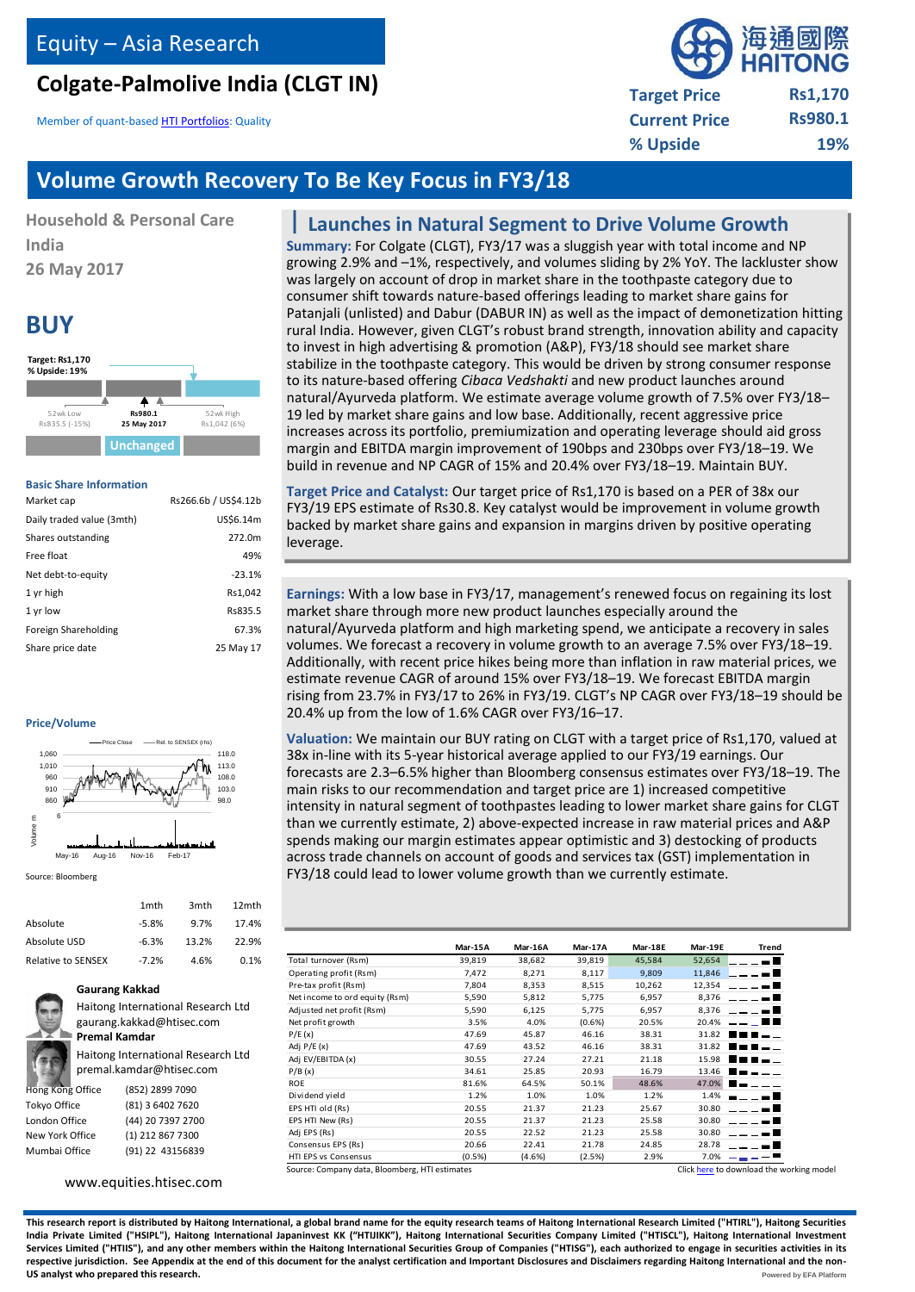# **Colgate-Palmolive India (CLGT IN)**

Member of quant-base[d HTI Portfolios:](http://equities.htisec.com/x/portfolios.html?sid=INE259A01022) Quality

# 每辅或 **Target Price Rs1,170 Current Price Rs980.1 % Upside 19%**

# **Volume Growth Recovery To Be Key Focus in FY3/18**

**Household & Personal Care India 26 May 2017**

# **BUY**



#### **Basic Share Information**

| Market cap                | Rs266.6b / US\$4.12b |
|---------------------------|----------------------|
| Daily traded value (3mth) | US\$6.14m            |
| Shares outstanding        | 272.0m               |
| Free float                | 49%                  |
| Net debt-to-equity        | $-23.1%$             |
| 1 yr high                 | Rs1,042              |
| 1 yr low                  | Rs835.5              |
| Foreign Shareholding      | 67.3%                |
| Share price date          | 25 May 17            |

#### **Price/Volume**



Source: Bloomberg

|                           | 1 <sub>mth</sub> | 3 <sub>mth</sub> | 12 <sub>mth</sub> |
|---------------------------|------------------|------------------|-------------------|
| Absolute                  | $-5.8%$          | 9.7%             | 17.4%             |
| Absolute USD              | $-6.3%$          | 13.2%            | 22.9%             |
| <b>Relative to SENSEX</b> | $-7.2%$          | 4.6%             | 0.1%              |



**Gaurang Kakkad**

Haitong International Research Ltd gaurang.kakkad@htisec.com

**Premal Kamdar** Haitong International Research Ltd premal.kamdar@htisec.com

| <b>Hong Kong Office</b> | (852) 2899 7090   |
|-------------------------|-------------------|
| Tokyo Office            | (81) 3 6402 7620  |
| London Office           | (44) 20 7397 2700 |
| New York Office         | (1) 212 867 7300  |
| Mumbai Office           | (91) 22 43156839  |
|                         |                   |

[www.equities.htisec.com](http://www.equities.htisec.com/)

# **Launches in Natural Segment to Drive Volume Growth**

**Summary:** For Colgate (CLGT), FY3/17 was a sluggish year with total income and NP growing 2.9% and –1%, respectively, and volumes sliding by 2% YoY. The lackluster show was largely on account of drop in market share in the toothpaste category due to consumer shift towards nature-based offerings leading to market share gains for Patanjali (unlisted) and Dabur (DABUR IN) as well as the impact of demonetization hitting rural India. However, given CLGT's robust brand strength, innovation ability and capacity to invest in high advertising & promotion (A&P), FY3/18 should see market share stabilize in the toothpaste category. This would be driven by strong consumer response to its nature-based offering *Cibaca Vedshakti* and new product launches around natural/Ayurveda platform. We estimate average volume growth of 7.5% over FY3/18– 19 led by market share gains and low base. Additionally, recent aggressive price increases across its portfolio, premiumization and operating leverage should aid gross margin and EBITDA margin improvement of 190bps and 230bps over FY3/18–19. We build in revenue and NP CAGR of 15% and 20.4% over FY3/18–19. Maintain BUY.

**Target Price and Catalyst:** Our target price of Rs1,170 is based on a PER of 38x our FY3/19 EPS estimate of Rs30.8. Key catalyst would be improvement in volume growth backed by market share gains and expansion in margins driven by positive operating leverage.

**Earnings:** With a low base in FY3/17, management's renewed focus on regaining its lost market share through more new product launches especially around the natural/Ayurveda platform and high marketing spend, we anticipate a recovery in sales volumes. We forecast a recovery in volume growth to an average 7.5% over FY3/18–19. Additionally, with recent price hikes being more than inflation in raw material prices, we estimate revenue CAGR of around 15% over FY3/18–19. We forecast EBITDA margin rising from 23.7% in FY3/17 to 26% in FY3/19. CLGT's NP CAGR over FY3/18–19 should be 20.4% up from the low of 1.6% CAGR over FY3/16–17.

**Valuation:** We maintain our BUY rating on CLGT with a target price of Rs1,170, valued at 38x in-line with its 5-year historical average applied to our FY3/19 earnings. Our forecasts are 2.3–6.5% higher than Bloomberg consensus estimates over FY3/18–19. The main risks to our recommendation and target price are 1) increased competitive intensity in natural segment of toothpastes leading to lower market share gains for CLGT than we currently estimate, 2) above-expected increase in raw material prices and A&P spends making our margin estimates appear optimistic and 3) destocking of products across trade channels on account of goods and services tax (GST) implementation in FY3/18 could lead to lower volume growth than we currently estimate.

|                                | Mar-15A | Mar-16A | Mar-17A | Mar-18E | Mar-19E     | <b>Trend</b> |
|--------------------------------|---------|---------|---------|---------|-------------|--------------|
| Total turnover (Rsm)           | 39,819  | 38,682  | 39,819  | 45,584  | 52,654      |              |
| Operating profit (Rsm)         | 7,472   | 8,271   | 8,117   | 9,809   | 11,846      |              |
| Pre-tax profit (Rsm)           | 7,804   | 8,353   | 8,515   | 10,262  | 12,354      |              |
| Net income to ord equity (Rsm) | 5,590   | 5,812   | 5,775   | 6,957   | 8,376       |              |
| Adjusted net profit (Rsm)      | 5,590   | 6,125   | 5,775   | 6,957   | 8,376       |              |
| Net profit growth              | 3.5%    | 4.0%    | (0.6%   | 20.5%   | 20.4%       |              |
| P/E(x)                         | 47.69   | 45.87   | 46.16   | 38.31   | 31.82       |              |
| Adj $P/E(x)$                   | 47.69   | 43.52   | 46.16   | 38.31   | 31.82       |              |
| Adj EV/EBITDA (x)              | 30.55   | 27.24   | 27.21   | 21.18   | 15.98       |              |
| P/B(x)                         | 34.61   | 25.85   | 20.93   | 16.79   | 13.46       |              |
| <b>ROE</b>                     | 81.6%   | 64.5%   | 50.1%   | 48.6%   | 47.0%       |              |
| Dividend yield                 | 1.2%    | 1.0%    | 1.0%    | 1.2%    | 1.4%        |              |
| EPS HTI old (Rs)               | 20.55   | 21.37   | 21.23   | 25.67   | 30.80       |              |
| EPS HTI New (Rs)               | 20.55   | 21.37   | 21.23   | 25.58   | 30.80       |              |
| Adj EPS (Rs)                   | 20.55   | 22.52   | 21.23   | 25.58   | 30.80       |              |
| Consensus EPS (Rs)             | 20.66   | 22.41   | 21.78   | 24.85   | 28.78       |              |
| HTI EPS vs Consensus           | (0.5%)  | (4.6%)  | (2.5%)  | 2.9%    | $7.0\%$ - - |              |

**This research report is distributed by Haitong International, a global brand name for the equity research teams of Haitong International Research Limited ("HTIRL"), Haitong Securities**  India Private Limited ("HSIPL"), Haitong International Japaninvest KK ("HTIJIKK"), Haitong International Securities Company Limited ("HTISCL"), Haitong International Investment **Services Limited ("HTIIS"), and any other members within the Haitong International Securities Group of Companies ("HTISG"), each authorized to engage in securities activities in its respective jurisdiction. See Appendix at the end of this document for the analyst certification and Important Disclosures and Disclaimers regarding Haitong International and the non-US analyst who prepared this research. Powered b[y EFA Platform](http://www.efa.biz/) Powered by EFA Platform**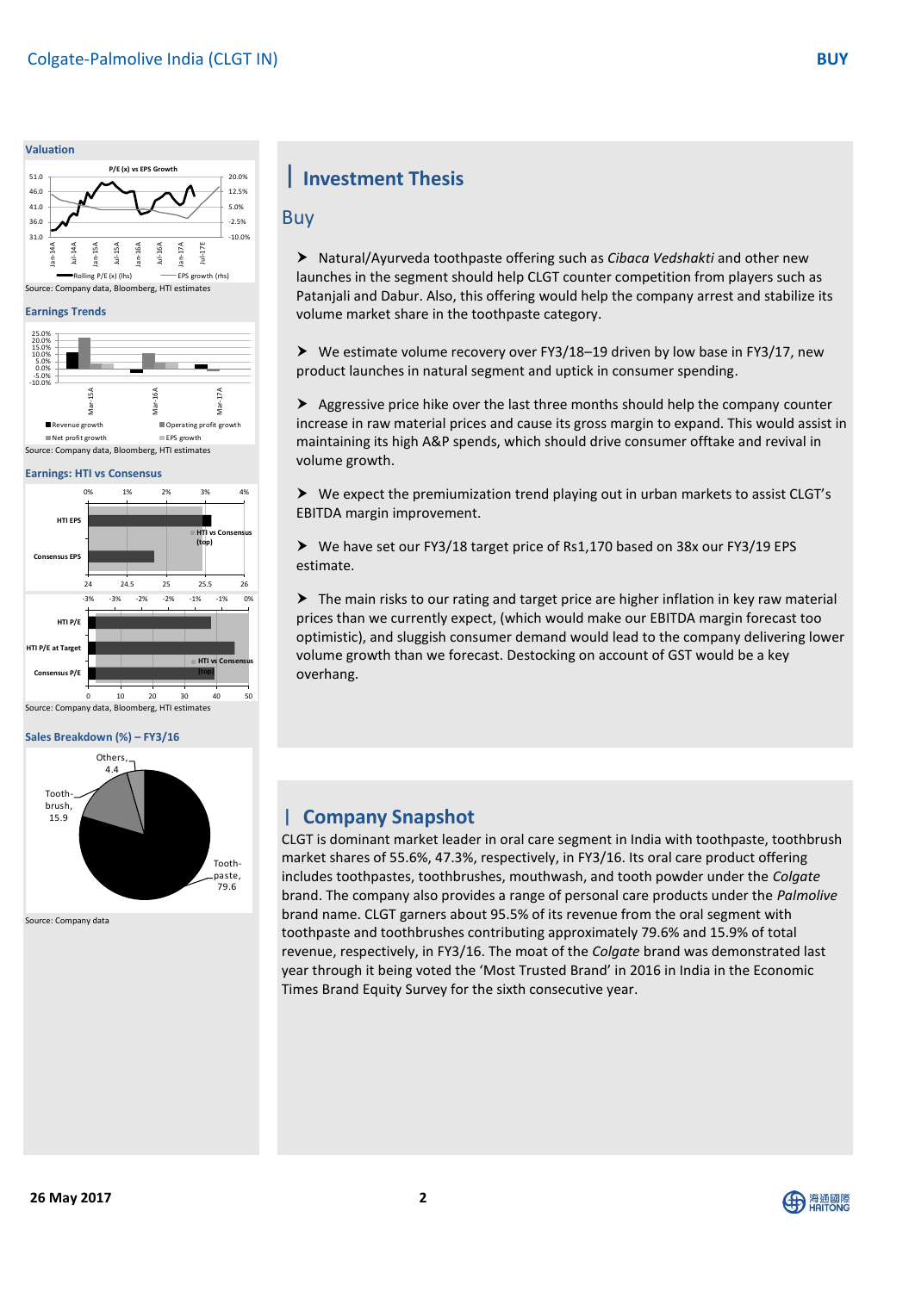#### **Valuation**



#### **Earnings Trends**



#### **Earnings: HTI vs Consensus**



#### **Sales Breakdown (%) – FY3/16**



Source: Company data

# **Investment Thesis**

### Buy

 Natural/Ayurveda toothpaste offering such as *Cibaca Vedshakti* and other new launches in the segment should help CLGT counter competition from players such as Patanjali and Dabur. Also, this offering would help the company arrest and stabilize its volume market share in the toothpaste category.

 $\triangleright$  We estimate volume recovery over FY3/18–19 driven by low base in FY3/17, new product launches in natural segment and uptick in consumer spending.

 $\triangleright$  Aggressive price hike over the last three months should help the company counter increase in raw material prices and cause its gross margin to expand. This would assist in maintaining its high A&P spends, which should drive consumer offtake and revival in volume growth.

 We expect the premiumization trend playing out in urban markets to assist CLGT's EBITDA margin improvement.

 We have set our FY3/18 target price of Rs1,170 based on 38x our FY3/19 EPS estimate.

 $\triangleright$  The main risks to our rating and target price are higher inflation in key raw material prices than we currently expect, (which would make our EBITDA margin forecast too optimistic), and sluggish consumer demand would lead to the company delivering lower volume growth than we forecast. Destocking on account of GST would be a key overhang.

# **Company Snapshot**

market shares of 55.6%, 47.3%, respectively, in FY3/16. Its oral care product offering<br>material includes to the setace to them electronic and the theory leader weden the Calaxi CLGT is dominant market leader in oral care segment in India with toothpaste, toothbrush includes toothpastes, toothbrushes, mouthwash, and tooth powder under the *Colgate* brand. The company also provides a range of personal care products under the *Palmolive* brand name. CLGT garners about 95.5% of its revenue from the oral segment with toothpaste and toothbrushes contributing approximately 79.6% and 15.9% of total revenue, respectively, in FY3/16. The moat of the *Colgate* brand was demonstrated last year through it being voted the 'Most Trusted Brand' in 2016 in India in the Economic Times Brand Equity Survey for the sixth consecutive year.

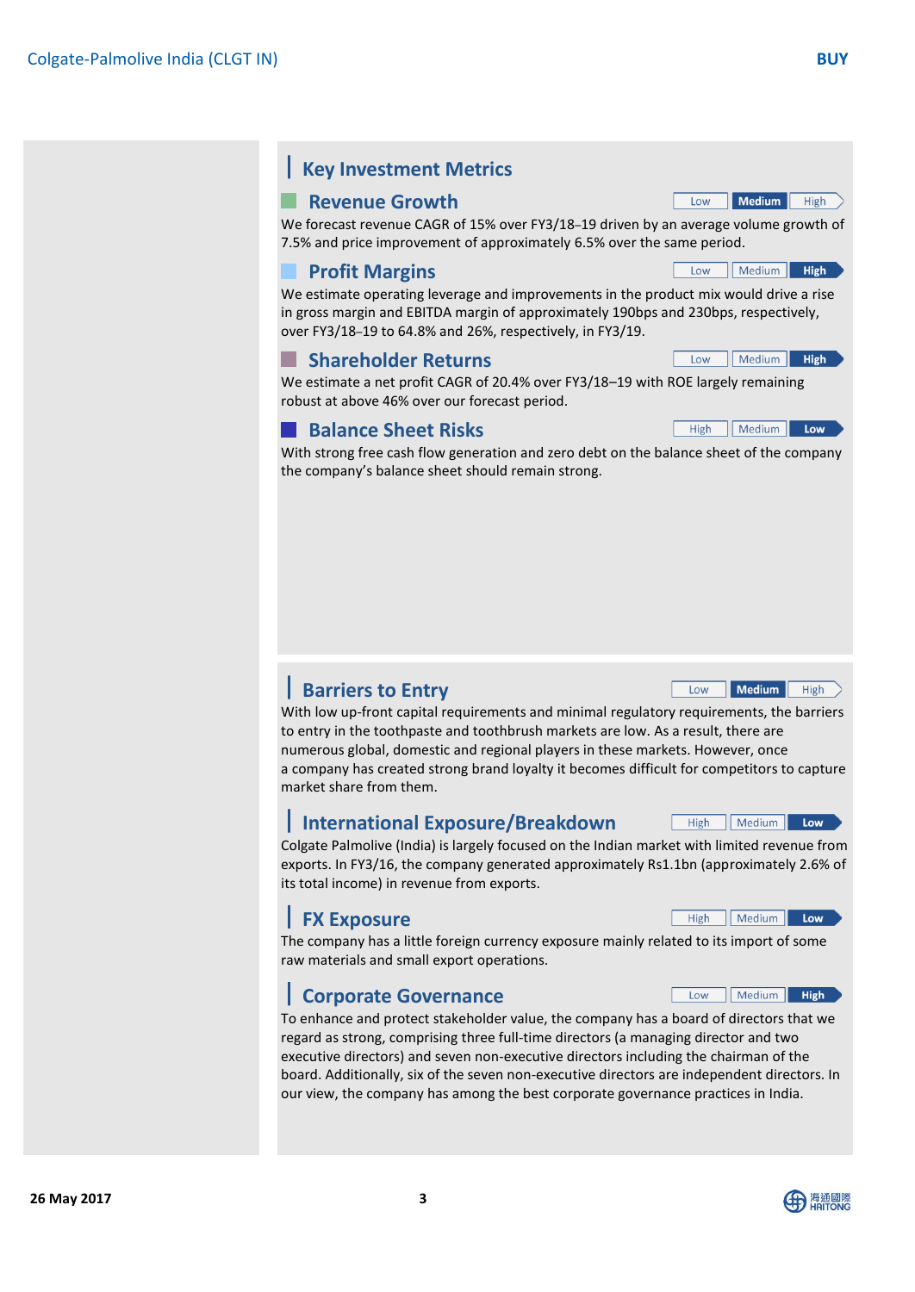# **Key Investment Metrics**

# **Revenue Growth**

We forecast revenue CAGR of 15% over FY3/18–19 driven by an average volume growth of 7.5% and price improvement of approximately 6.5% over the same period.

# **Profit Margins**

We estimate operating leverage and improvements in the product mix would drive a rise in gross margin and EBITDA margin of approximately 190bps and 230bps, respectively, over FY3/18–19 to 64.8% and 26%, respectively, in FY3/19.

# **Shareholder Returns**

We estimate a net profit CAGR of 20.4% over FY3/18–19 with ROE largely remaining robust at above 46% over our forecast period.

# **Balance Sheet Risks**

With strong free cash flow generation and zero debt on the balance sheet of the company the company's balance sheet should remain strong.

# **Barriers to Entry**

With low up-front capital requirements and minimal regulatory requirements, the barriers to entry in the toothpaste and toothbrush markets are low. As a result, there are numerous global, domestic and regional players in these markets. However, once a company has created strong brand loyalty it becomes difficult for competitors to capture market share from them.

# **International Exposure/Breakdown**

Colgate Palmolive (India) is largely focused on the Indian market with limited revenue from exports. In FY3/16, the company generated approximately Rs1.1bn (approximately 2.6% of its total income) in revenue from exports.

# **FX Exposure**

The company has a little foreign currency exposure mainly related to its import of some raw materials and small export operations.

# **Corporate Governance**

To enhance and protect stakeholder value, the company has a board of directors that we regard as strong, comprising three full-time directors (a managing director and two executive directors) and seven non-executive directors including the chairman of the board. Additionally, six of the seven non-executive directors are independent directors. In our view, the company has among the best corporate governance practices in India.



Low

High



Low Medium High

Low Medium High

Medium Low

Medium High

High Medium Low

High | Medium

Low Medium High

High

Low

Low | Medium |

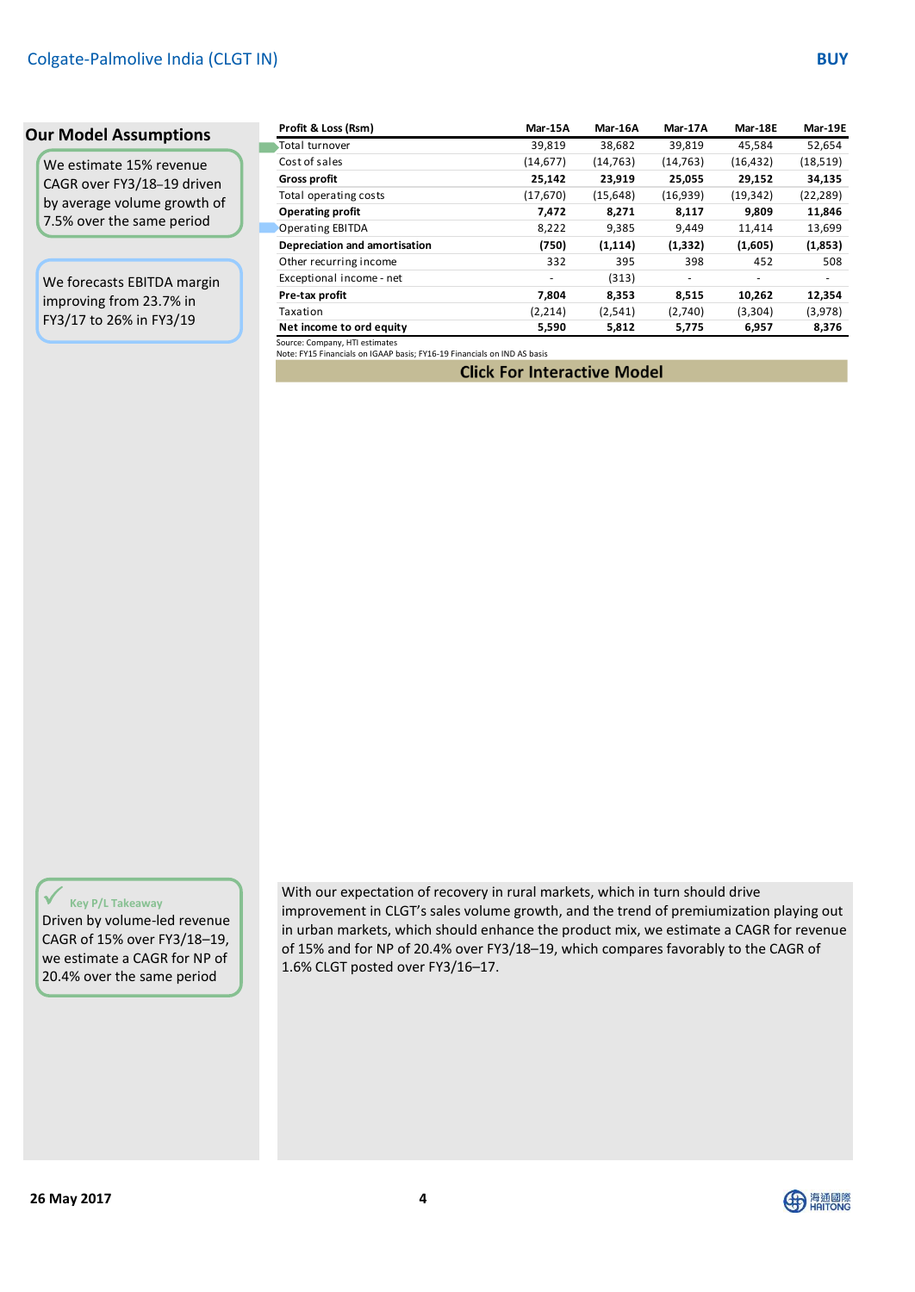We estimate 15% revenue CAGR over FY3/18–19 driven by average volume growth of 7.5% over the same period

We forecasts EBITDA margin improving from 23.7% in FY3/17 to 26% in FY3/19

| Profit & Loss (Rsm)               | Mar-15A   | Mar-16A   | Mar-17A  | Mar-18E   | Mar-19E   |
|-----------------------------------|-----------|-----------|----------|-----------|-----------|
| Total turnover                    | 39,819    | 38,682    | 39,819   | 45,584    | 52,654    |
| Cost of sales                     | (14, 677) | (14, 763) | (14,763) | (16, 432) | (18, 519) |
| <b>Gross profit</b>               | 25,142    | 23,919    | 25,055   | 29,152    | 34,135    |
| Total operating costs             | (17,670)  | (15,648)  | (16,939) | (19, 342) | (22, 289) |
| <b>Operating profit</b>           | 7,472     | 8,271     | 8,117    | 9,809     | 11,846    |
| Operating EBITDA                  | 8,222     | 9,385     | 9,449    | 11,414    | 13,699    |
| Depreciation and amortisation     | (750)     | (1, 114)  | (1, 332) | (1,605)   | (1,853)   |
| Other recurring income            | 332       | 395       | 398      | 452       | 508       |
| Exceptional income - net          | ۰         | (313)     | ٠        |           |           |
| Pre-tax profit                    | 7,804     | 8,353     | 8,515    | 10,262    | 12,354    |
| Taxation                          | (2,214)   | (2,541)   | (2,740)  | (3,304)   | (3,978)   |
| Net income to ord equity          | 5,590     | 5,812     | 5,775    | 6,957     | 8,376     |
| Concert Company (1971 and contact |           |           |          |           |           |

Source: Company, HTI estimates [Note: FY15 Financials on IGAAP basis; FY16-19 Financials on IND AS basis](http://equities.htisec.com/x/model?id=0B063A05-5B2E-425E-A08A-096CD1BC21AB)

**Click For Interactive Model** 

### **Key P/L Takeaway**

Driven by volume-led revenue CAGR of 15% over FY3/18–19, we estimate a CAGR for NP of 20.4% over the same period

With our expectation of recovery in rural markets, which in turn should drive improvement in CLGT's sales volume growth, and the trend of premiumization playing out in urban markets, which should enhance the product mix, we estimate a CAGR for revenue of 15% and for NP of 20.4% over FY3/18–19, which compares favorably to the CAGR of 1.6% CLGT posted over FY3/16–17.

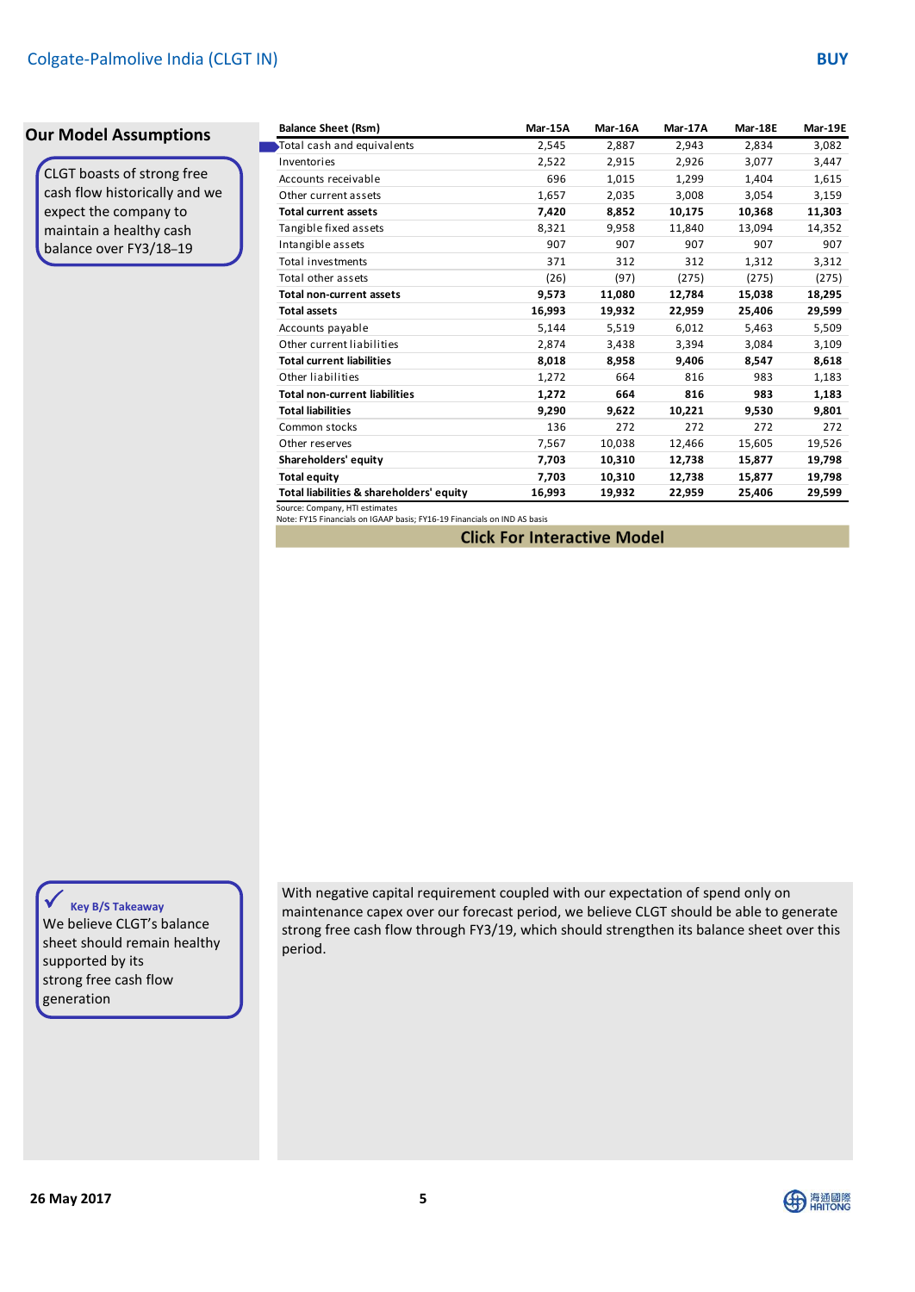CLGT boasts of strong free cash flow historically and we expect the company to maintain a healthy cash balance over FY3/18–19

| <b>Balance Sheet (Rsm)</b>               | Mar-15A | Mar-16A | Mar-17A | Mar-18E | Mar-19E |
|------------------------------------------|---------|---------|---------|---------|---------|
| Total cash and equivalents               | 2,545   | 2,887   | 2,943   | 2,834   | 3,082   |
| Inventories                              | 2,522   | 2,915   | 2,926   | 3,077   | 3,447   |
| Accounts receivable                      | 696     | 1,015   | 1,299   | 1,404   | 1,615   |
| Other current assets                     | 1,657   | 2,035   | 3,008   | 3,054   | 3,159   |
| <b>Total current assets</b>              | 7,420   | 8,852   | 10,175  | 10,368  | 11,303  |
| Tangible fixed assets                    | 8,321   | 9,958   | 11,840  | 13,094  | 14,352  |
| Intangible assets                        | 907     | 907     | 907     | 907     | 907     |
| Total investments                        | 371     | 312     | 312     | 1,312   | 3,312   |
| Total other assets                       | (26)    | (97)    | (275)   | (275)   | (275)   |
| <b>Total non-current assets</b>          | 9,573   | 11,080  | 12,784  | 15,038  | 18,295  |
| <b>Total assets</b>                      | 16,993  | 19,932  | 22,959  | 25,406  | 29,599  |
| Accounts payable                         | 5,144   | 5,519   | 6,012   | 5,463   | 5,509   |
| Other current liabilities                | 2,874   | 3,438   | 3,394   | 3,084   | 3,109   |
| <b>Total current liabilities</b>         | 8,018   | 8,958   | 9,406   | 8,547   | 8,618   |
| Other liabilities                        | 1,272   | 664     | 816     | 983     | 1,183   |
| <b>Total non-current liabilities</b>     | 1,272   | 664     | 816     | 983     | 1,183   |
| <b>Total liabilities</b>                 | 9,290   | 9,622   | 10,221  | 9,530   | 9,801   |
| Common stocks                            | 136     | 272     | 272     | 272     | 272     |
| Other reserves                           | 7,567   | 10,038  | 12,466  | 15,605  | 19,526  |
| Shareholders' equity                     | 7,703   | 10,310  | 12,738  | 15,877  | 19,798  |
| <b>Total equity</b>                      | 7,703   | 10,310  | 12,738  | 15,877  | 19,798  |
| Total liabilities & shareholders' equity | 16,993  | 19,932  | 22,959  | 25,406  | 29,599  |

Source: Company, HTI estimates [Note: FY15 Financials on IGAAP basis; FY16-19 Financials on IND AS basis](http://equities.htisec.com/x/model?id=0B063A05-5B2E-425E-A08A-096CD1BC21AB)

**Click For Interactive Model** 

# **Key B/S Takeaway**

We believe CLGT's balance sheet should remain healthy supported by its strong free cash flow generation

With negative capital requirement coupled with our expectation of spend only on maintenance capex over our forecast period, we believe CLGT should be able to generate strong free cash flow through FY3/19, which should strengthen its balance sheet over this period.

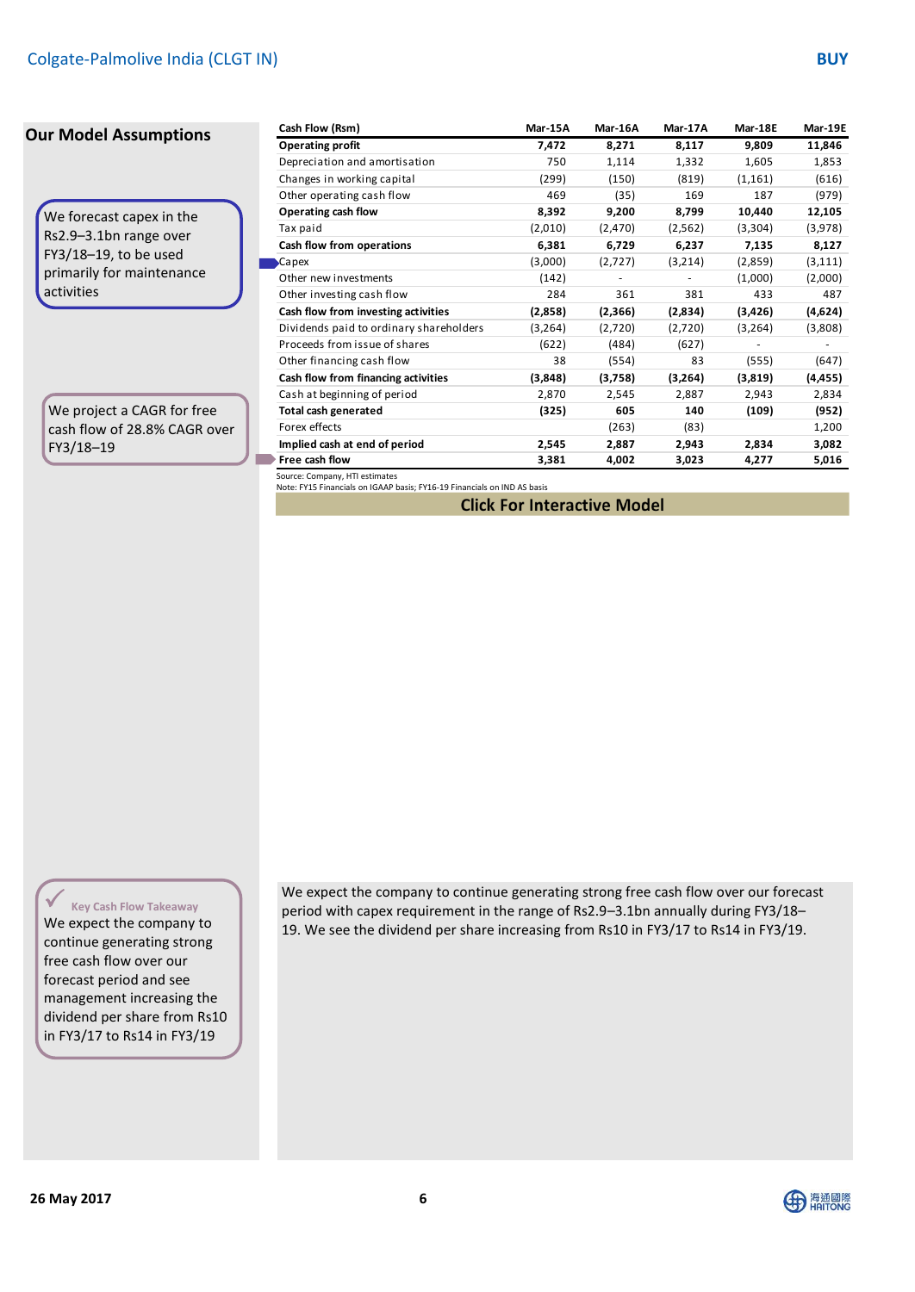We forecast capex in the Rs2.9–3.1bn range over FY3/18–19, to be used primarily for maintenance activities

r

п

We project a CAGR for free cash flow of 28.8% CAGR over FY3/18–19

| Cash Flow (Rsm)                         | Mar-15A  | Mar-16A                  | Mar-17A | Mar-18E  | Mar-19E  |
|-----------------------------------------|----------|--------------------------|---------|----------|----------|
| <b>Operating profit</b>                 | 7,472    | 8,271                    | 8,117   | 9,809    | 11,846   |
| Depreciation and amortisation           | 750      | 1,114                    | 1,332   | 1,605    | 1,853    |
| Changes in working capital              | (299)    | (150)                    | (819)   | (1, 161) | (616)    |
| Other operating cash flow               | 469      | (35)                     | 169     | 187      | (979)    |
| Operating cash flow                     | 8,392    | 9,200                    | 8,799   | 10,440   | 12,105   |
| Tax paid                                | (2,010)  | (2,470)                  | (2,562) | (3,304)  | (3,978)  |
| Cash flow from operations               | 6,381    | 6,729                    | 6,237   | 7,135    | 8,127    |
| Capex                                   | (3,000)  | (2,727)                  | (3,214) | (2,859)  | (3, 111) |
| Other new investments                   | (142)    | $\overline{\phantom{m}}$ |         | (1,000)  | (2,000)  |
| Other investing cash flow               | 284      | 361                      | 381     | 433      | 487      |
| Cash flow from investing activities     | (2,858)  | (2,366)                  | (2,834) | (3, 426) | (4,624)  |
| Dividends paid to ordinary shareholders | (3, 264) | (2,720)                  | (2,720) | (3, 264) | (3,808)  |
| Proceeds from issue of shares           | (622)    | (484)                    | (627)   |          |          |
| Other financing cash flow               | 38       | (554)                    | 83      | (555)    | (647)    |
| Cash flow from financing activities     | (3,848)  | (3,758)                  | (3,264) | (3,819)  | (4,455)  |
| Cash at beginning of period             | 2,870    | 2,545                    | 2,887   | 2,943    | 2,834    |
| Total cash generated                    | (325)    | 605                      | 140     | (109)    | (952)    |
| Forex effects                           |          | (263)                    | (83)    |          | 1,200    |
| Implied cash at end of period           | 2,545    | 2,887                    | 2,943   | 2,834    | 3,082    |
| Free cash flow                          | 3,381    | 4,002                    | 3,023   | 4,277    | 5,016    |

Source: Company, HTI estimates [Note: FY15 Financials on IGAAP basis; FY16-19 Financials on IND AS basis](http://equities.htisec.com/x/model?id=0B063A05-5B2E-425E-A08A-096CD1BC21AB)

**Click For Interactive Model** 

**Key Cash Flow Takeaway**

We expect the company to continue generating strong free cash flow over our forecast period and see management increasing the dividend per share from Rs10 in FY3/17 to Rs14 in FY3/19

We expect the company to continue generating strong free cash flow over our forecast period with capex requirement in the range of Rs2.9–3.1bn annually during FY3/18– 19. We see the dividend per share increasing from Rs10 in FY3/17 to Rs14 in FY3/19.

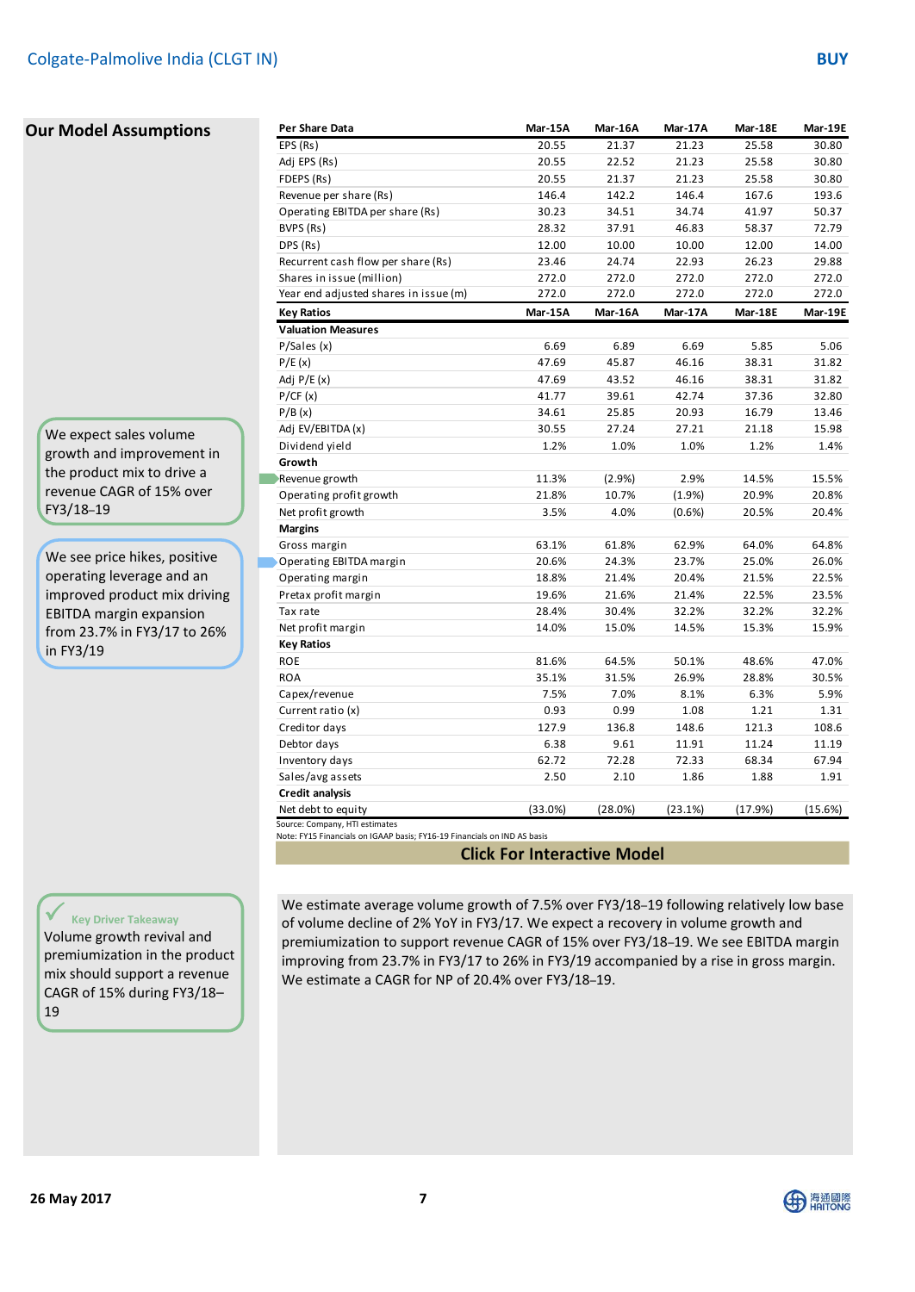We expect sales volume growth and improvement in the product mix to drive a revenue CAGR of 15% over FY3/18–19

г

We see price hikes, positive operating leverage and an improved product mix driving EBITDA margin expansion from 23.7% in FY3/17 to 26% in FY3/19

| Per Share Data                        | Mar-15A | Mar-16A | Mar-17A | Mar-18E | Mar-19E |
|---------------------------------------|---------|---------|---------|---------|---------|
| EPS (Rs)                              | 20.55   | 21.37   | 21.23   | 25.58   | 30.80   |
| Adj EPS (Rs)                          | 20.55   | 22.52   | 21.23   | 25.58   | 30.80   |
| FDEPS (Rs)                            | 20.55   | 21.37   | 21.23   | 25.58   | 30.80   |
| Revenue per share (Rs)                | 146.4   | 142.2   | 146.4   | 167.6   | 193.6   |
| Operating EBITDA per share (Rs)       | 30.23   | 34.51   | 34.74   | 41.97   | 50.37   |
| BVPS (Rs)                             | 28.32   | 37.91   | 46.83   | 58.37   | 72.79   |
| DPS (Rs)                              | 12.00   | 10.00   | 10.00   | 12.00   | 14.00   |
| Recurrent cash flow per share (Rs)    | 23.46   | 24.74   | 22.93   | 26.23   | 29.88   |
| Shares in issue (million)             | 272.0   | 272.0   | 272.0   | 272.0   | 272.0   |
| Year end adjusted shares in issue (m) | 272.0   | 272.0   | 272.0   | 272.0   | 272.0   |
| <b>Key Ratios</b>                     | Mar-15A | Mar-16A | Mar-17A | Mar-18E | Mar-19E |
| <b>Valuation Measures</b>             |         |         |         |         |         |
| P/Sales(x)                            | 6.69    | 6.89    | 6.69    | 5.85    | 5.06    |
| P/E(x)                                | 47.69   | 45.87   | 46.16   | 38.31   | 31.82   |
| Adj $P/E(x)$                          | 47.69   | 43.52   | 46.16   | 38.31   | 31.82   |
| P/CF(x)                               | 41.77   | 39.61   | 42.74   | 37.36   | 32.80   |
| P/B(x)                                | 34.61   | 25.85   | 20.93   | 16.79   | 13.46   |
| Adj EV/EBITDA (x)                     | 30.55   | 27.24   | 27.21   | 21.18   | 15.98   |
| Dividend yield                        | 1.2%    | 1.0%    | 1.0%    | 1.2%    | 1.4%    |
| Growth                                |         |         |         |         |         |
| Revenue growth                        | 11.3%   | (2.9%)  | 2.9%    | 14.5%   | 15.5%   |
| Operating profit growth               | 21.8%   | 10.7%   | (1.9%)  | 20.9%   | 20.8%   |
| Net profit growth                     | 3.5%    | 4.0%    | (0.6%   | 20.5%   | 20.4%   |
| <b>Margins</b>                        |         |         |         |         |         |
| Gross margin                          | 63.1%   | 61.8%   | 62.9%   | 64.0%   | 64.8%   |
| Operating EBITDA margin               | 20.6%   | 24.3%   | 23.7%   | 25.0%   | 26.0%   |
| Operating margin                      | 18.8%   | 21.4%   | 20.4%   | 21.5%   | 22.5%   |
| Pretax profit margin                  | 19.6%   | 21.6%   | 21.4%   | 22.5%   | 23.5%   |
| Tax rate                              | 28.4%   | 30.4%   | 32.2%   | 32.2%   | 32.2%   |
| Net profit margin                     | 14.0%   | 15.0%   | 14.5%   | 15.3%   | 15.9%   |
| <b>Key Ratios</b>                     |         |         |         |         |         |
| <b>ROE</b>                            | 81.6%   | 64.5%   | 50.1%   | 48.6%   | 47.0%   |
| <b>ROA</b>                            | 35.1%   | 31.5%   | 26.9%   | 28.8%   | 30.5%   |
| Capex/revenue                         | 7.5%    | 7.0%    | 8.1%    | 6.3%    | 5.9%    |
| Current ratio (x)                     | 0.93    | 0.99    | 1.08    | 1.21    | 1.31    |
| Creditor days                         | 127.9   | 136.8   | 148.6   | 121.3   | 108.6   |
| Debtor days                           | 6.38    | 9.61    | 11.91   | 11.24   | 11.19   |
| Inventory days                        | 62.72   | 72.28   | 72.33   | 68.34   | 67.94   |
| Sales/avg assets                      | 2.50    | 2.10    | 1.86    | 1.88    | 1.91    |
| <b>Credit analysis</b>                |         |         |         |         |         |
|                                       |         |         |         |         |         |

**Click For Interactive Model** 

#### **Key Driver Takeaway**

Volume growth revival and premiumization in the product mix should support a revenue CAGR of 15% during FY3/18– 19

We estimate average volume growth of 7.5% over FY3/18–19 following relatively low base of volume decline of 2% YoY in FY3/17. We expect a recovery in volume growth and premiumization to support revenue CAGR of 15% over FY3/18–19. We see EBITDA margin improving from 23.7% in FY3/17 to 26% in FY3/19 accompanied by a rise in gross margin. We estimate a CAGR for NP of 20.4% over FY3/18–19.



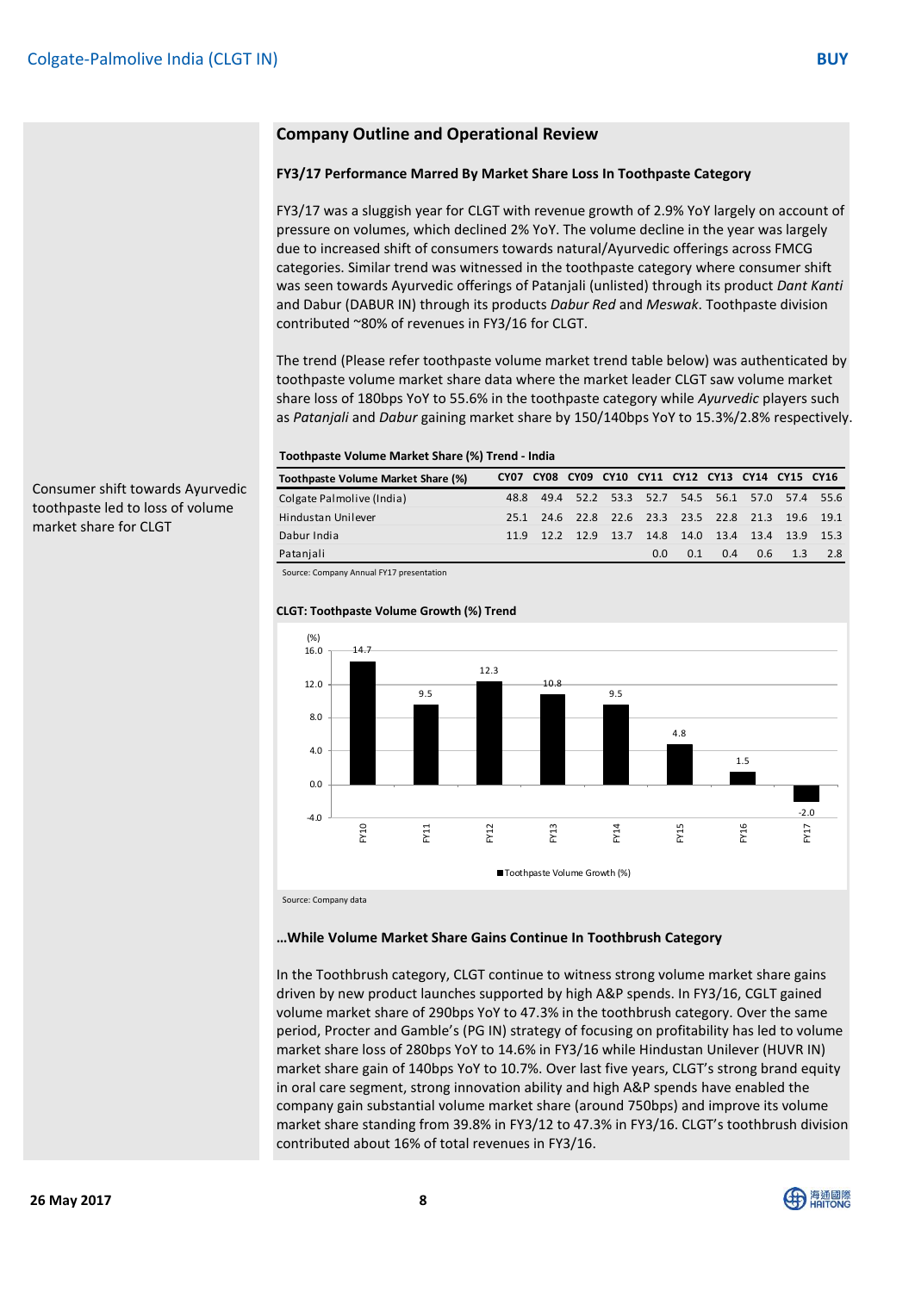# **Company Outline and Operational Review**

#### **FY3/17 Performance Marred By Market Share Loss In Toothpaste Category**

FY3/17 was a sluggish year for CLGT with revenue growth of 2.9% YoY largely on account of pressure on volumes, which declined 2% YoY. The volume decline in the year was largely due to increased shift of consumers towards natural/Ayurvedic offerings across FMCG categories. Similar trend was witnessed in the toothpaste category where consumer shift was seen towards Ayurvedic offerings of Patanjali (unlisted) through its product *Dant Kanti* and Dabur (DABUR IN) through its products *Dabur Red* and *Meswak*. Toothpaste division contributed ~80% of revenues in FY3/16 for CLGT.

The trend (Please refer toothpaste volume market trend table below) was authenticated by toothpaste volume market share data where the market leader CLGT saw volume market share loss of 180bps YoY to 55.6% in the toothpaste category while *Ayurvedic* players such as *Patanjali* and *Dabur* gaining market share by 150/140bps YoY to 15.3%/2.8% respectively.

#### **Toothpaste Volume Market Share (%) Trend - India**

| Toothpaste Volume Market Share (%) |      |           |     |     |     | CY07 CY08 CY09 CY10 CY11 CY12 CY13 CY14 CY15 CY16 |     |                                              |
|------------------------------------|------|-----------|-----|-----|-----|---------------------------------------------------|-----|----------------------------------------------|
| Colgate Palmolive (India)          | 48.8 |           |     |     |     |                                                   |     | 49.4 52.2 53.3 52.7 54.5 56.1 57.0 57.4 55.6 |
| Hindustan Unilever                 | 25.1 |           |     |     |     |                                                   |     | 24.6 22.8 22.6 23.3 23.5 22.8 21.3 19.6 19.1 |
| Dabur India                        | 11.9 | 12.2 12.9 |     |     |     |                                                   |     | 13.7 14.8 14.0 13.4 13.4 13.9 15.3           |
| Patanjali                          |      |           | 0.0 | 0.1 | 0.4 | 0.6                                               | 1.3 | 2.8                                          |

Source: Company Annual FY17 presentation

#### **CLGT: Toothpaste Volume Growth (%) Trend**



Source: Company data

#### **…While Volume Market Share Gains Continue In Toothbrush Category**

In the Toothbrush category, CLGT continue to witness strong volume market share gains driven by new product launches supported by high A&P spends. In FY3/16, CGLT gained volume market share of 290bps YoY to 47.3% in the toothbrush category. Over the same period, Procter and Gamble's (PG IN) strategy of focusing on profitability has led to volume market share loss of 280bps YoY to 14.6% in FY3/16 while Hindustan Unilever (HUVR IN) market share gain of 140bps YoY to 10.7%. Over last five years, CLGT's strong brand equity in oral care segment, strong innovation ability and high A&P spends have enabled the company gain substantial volume market share (around 750bps) and improve its volume market share standing from 39.8% in FY3/12 to 47.3% in FY3/16. CLGT's toothbrush division contributed about 16% of total revenues in FY3/16.

Consumer shift towards Ayurvedic toothpaste led to loss of volume market share for CLGT

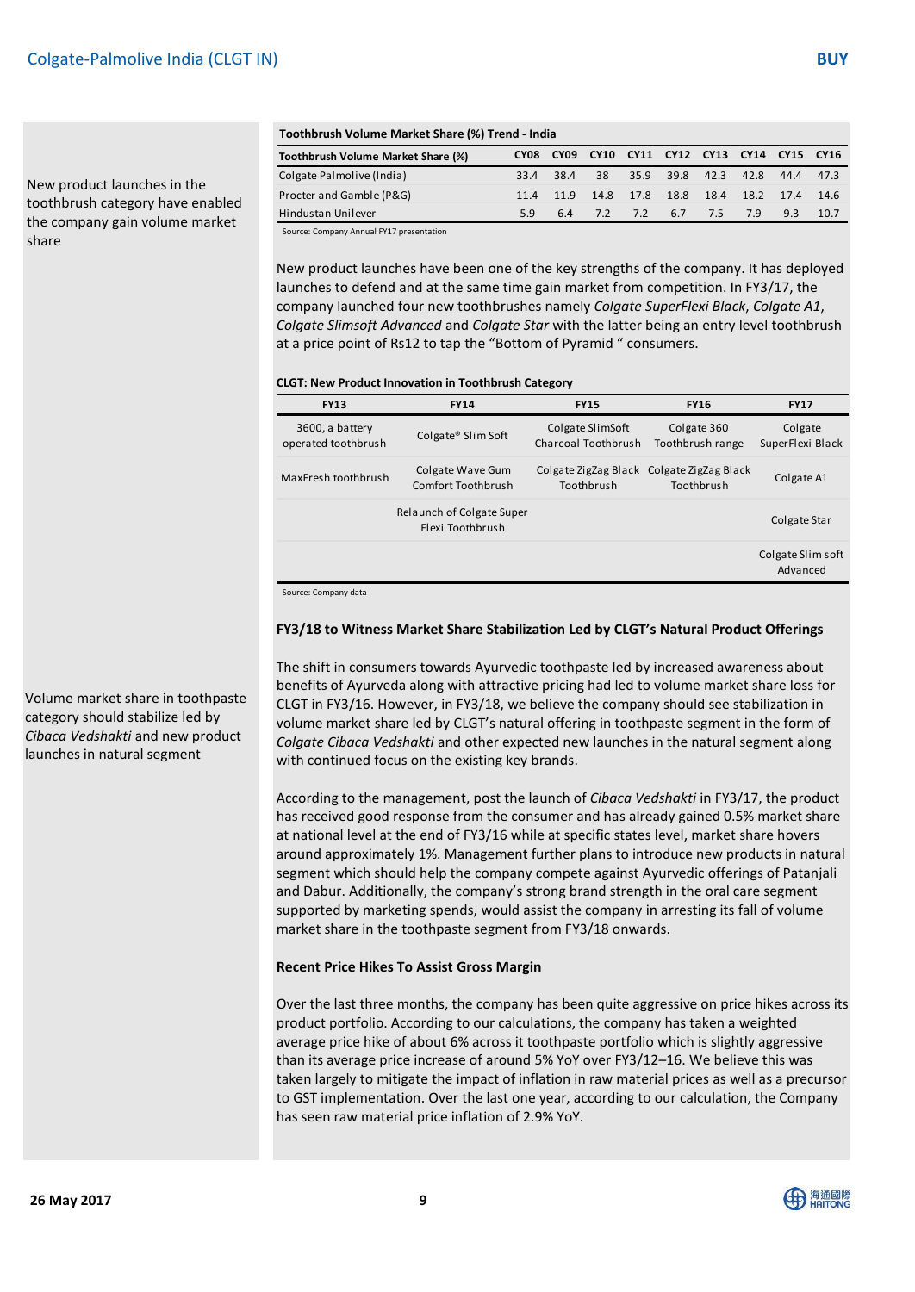New product launches in the toothbrush category have enabled the company gain volume market share

#### **Toothbrush Volume Market Share (%) Trend - India**

| Toothbrush Volume Market Share (%) Trend - India |           |      |             |                |      |      |           |      |       |  |
|--------------------------------------------------|-----------|------|-------------|----------------|------|------|-----------|------|-------|--|
| Toothbrush Volume Market Share (%)               | CY08      | CY09 | <b>CY10</b> | CY11 CY12 CY13 |      |      | CY14 CY15 |      | CY16  |  |
| Colgate Palmolive (India)                        | 33.4 38.4 |      | 38          | 35.9           | 39.8 | 42.3 | 42.8      | 44.4 | 47.3  |  |
| Procter and Gamble (P&G)                         | 11.4      | 11.9 | 14.8        | 17.8           | 18.8 | 18.4 | 18.2      | 17.4 | -14.6 |  |
| Hindustan Unilever                               | 5.9       | 6.4  | 7.2         | 7.2            | 6.7  | 7.5  | 7.9       | 9.3  | 10.7  |  |

Source: Company Annual FY17 presentation

New product launches have been one of the key strengths of the company. It has deployed launches to defend and at the same time gain market from competition. In FY3/17, the company launched four new toothbrushes namely *Colgate SuperFlexi Black*, *Colgate A1*, *Colgate Slimsoft Advanced* and *Colgate Star* with the latter being an entry level toothbrush at a price point of Rs12 to tap the "Bottom of Pyramid " consumers.

#### **CLGT: New Product Innovation in Toothbrush Category**

| <b>FY13</b>                            | <b>FY14</b>                                   | <b>FY15</b>                             | <b>FY16</b>                                             | <b>FY17</b>                   |
|----------------------------------------|-----------------------------------------------|-----------------------------------------|---------------------------------------------------------|-------------------------------|
| 3600, a battery<br>operated toothbrush | Colgate® Slim Soft                            | Colgate SlimSoft<br>Charcoal Toothbrush | Colgate 360<br>Toothbrush range                         | Colgate<br>SuperFlexi Black   |
| MaxFresh toothbrush                    | Colgate Wave Gum<br>Comfort Toothbrush        | Toothbrush                              | Colgate ZigZag Black Colgate ZigZag Black<br>Toothbrush | Colgate A1                    |
|                                        | Relaunch of Colgate Super<br>Flexi Toothbrush |                                         |                                                         | Colgate Star                  |
|                                        |                                               |                                         |                                                         | Colgate Slim soft<br>Advanced |

Source: Company data

#### **FY3/18 to Witness Market Share Stabilization Led by CLGT's Natural Product Offerings**

The shift in consumers towards Ayurvedic toothpaste led by increased awareness about benefits of Ayurveda along with attractive pricing had led to volume market share loss for CLGT in FY3/16. However, in FY3/18, we believe the company should see stabilization in volume market share led by CLGT's natural offering in toothpaste segment in the form of *Colgate Cibaca Vedshakti* and other expected new launches in the natural segment along with continued focus on the existing key brands.

According to the management, post the launch of *Cibaca Vedshakti* in FY3/17, the product has received good response from the consumer and has already gained 0.5% market share at national level at the end of FY3/16 while at specific states level, market share hovers around approximately 1%. Management further plans to introduce new products in natural segment which should help the company compete against Ayurvedic offerings of Patanjali and Dabur. Additionally, the company's strong brand strength in the oral care segment supported by marketing spends, would assist the company in arresting its fall of volume market share in the toothpaste segment from FY3/18 onwards.

#### **Recent Price Hikes To Assist Gross Margin**

Over the last three months, the company has been quite aggressive on price hikes across its product portfolio. According to our calculations, the company has taken a weighted average price hike of about 6% across it toothpaste portfolio which is slightly aggressive than its average price increase of around 5% YoY over FY3/12–16. We believe this was taken largely to mitigate the impact of inflation in raw material prices as well as a precursor to GST implementation. Over the last one year, according to our calculation, the Company has seen raw material price inflation of 2.9% YoY.

Volume market share in toothpaste category should stabilize led by *Cibaca Vedshakti* and new product launches in natural segment

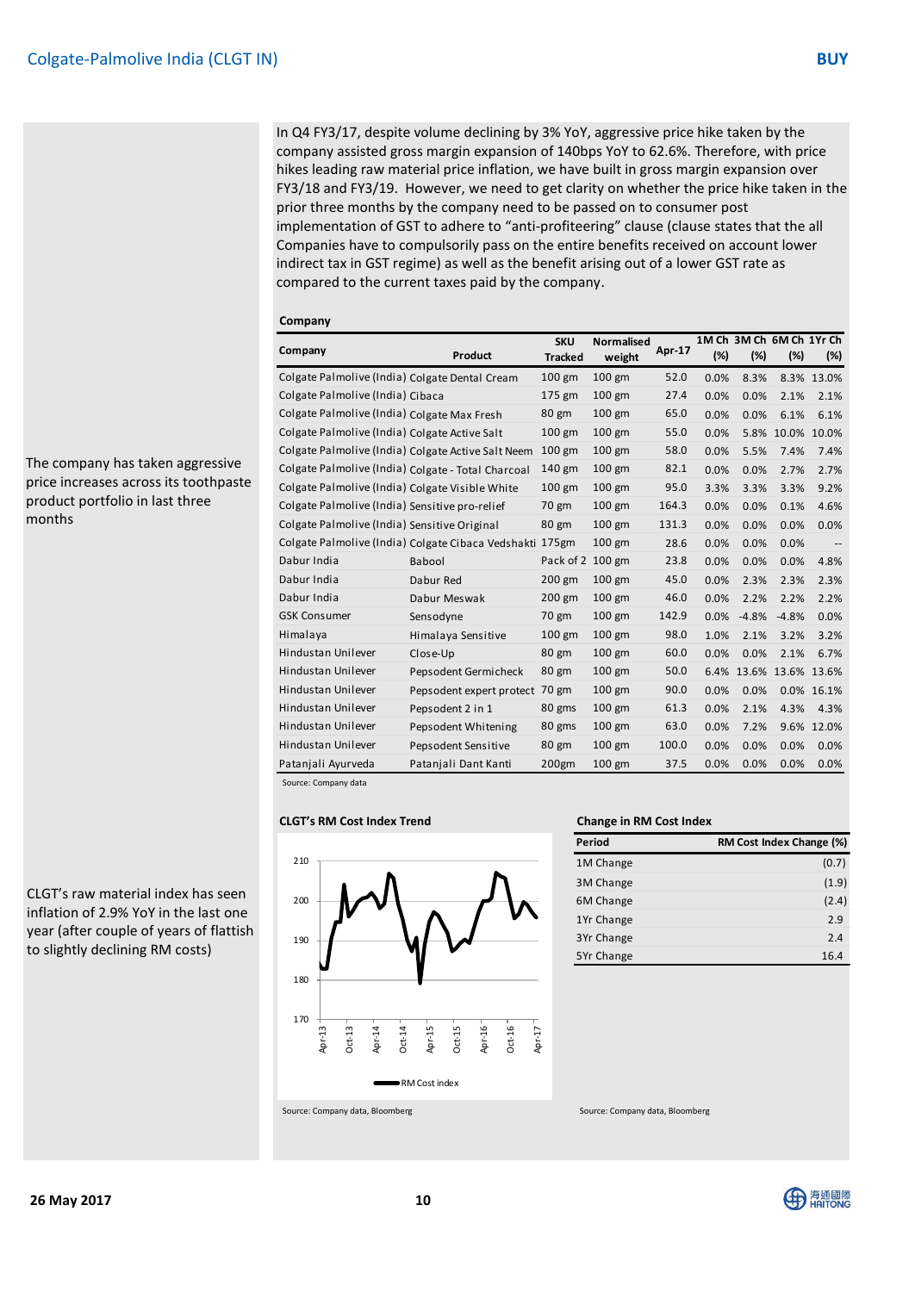In Q4 FY3/17, despite volume declining by 3% YoY, aggressive price hike taken by the company assisted gross margin expansion of 140bps YoY to 62.6%. Therefore, with price hikes leading raw material price inflation, we have built in gross margin expansion over FY3/18 and FY3/19. However, we need to get clarity on whether the price hike taken in the prior three months by the company need to be passed on to consumer post implementation of GST to adhere to "anti-profiteering" clause (clause states that the all Companies have to compulsorily pass on the entire benefits received on account lower indirect tax in GST regime) as well as the benefit arising out of a lower GST rate as compared to the current taxes paid by the company.

| Company                                            |                                                    | <b>SKU</b>      | <b>Normalised</b> | Apr-17 |      | 1M Ch 3M Ch 6M Ch 1Yr Ch |                   |            |
|----------------------------------------------------|----------------------------------------------------|-----------------|-------------------|--------|------|--------------------------|-------------------|------------|
|                                                    | Product                                            | <b>Tracked</b>  | weight            |        | (%)  | (%)                      | (%)               | (%)        |
| Colgate Palmolive (India) Colgate Dental Cream     |                                                    | 100 gm          | 100 gm            | 52.0   | 0.0% | 8.3%                     |                   | 8.3% 13.0% |
| Colgate Palmolive (India) Cibaca                   |                                                    | 175 gm          | $100$ gm          | 27.4   | 0.0% | 0.0%                     | 2.1%              | 2.1%       |
| Colgate Palmolive (India) Colgate Max Fresh        |                                                    | 80 gm           | 100 gm            | 65.0   | 0.0% | 0.0%                     | 6.1%              | 6.1%       |
| Colgate Palmolive (India) Colgate Active Salt      |                                                    | 100 gm          | 100 gm            | 55.0   | 0.0% | 5.8%                     | 10.0%             | 10.0%      |
| Colgate Palmolive (India) Colgate Active Salt Neem |                                                    | $100$ gm        | $100$ gm          | 58.0   | 0.0% | 5.5%                     | 7.4%              | 7.4%       |
| Colgate Palmolive (India) Colgate - Total Charcoal |                                                    | 140 gm          | $100$ gm          | 82.1   | 0.0% | 0.0%                     | 2.7%              | 2.7%       |
| Colgate Palmolive (India) Colgate Visible White    |                                                    | $100$ gm        | $100$ gm          | 95.0   | 3.3% | 3.3%                     | 3.3%              | 9.2%       |
| Colgate Palmolive (India) Sensitive pro-relief     |                                                    | 70 gm           | $100$ gm          | 164.3  | 0.0% | 0.0%                     | 0.1%              | 4.6%       |
| Colgate Palmolive (India) Sensitive Original       |                                                    | 80 gm           | $100$ gm          | 131.3  | 0.0% | 0.0%                     | 0.0%              | 0.0%       |
|                                                    | Colgate Palmolive (India) Colgate Cibaca Vedshakti | $175$ gm        | 100 gm            | 28.6   | 0.0% | 0.0%                     | 0.0%              |            |
| Dabur India                                        | Babool                                             | Pack of 2       | $100$ gm          | 23.8   | 0.0% | 0.0%                     | 0.0%              | 4.8%       |
| Dabur India                                        | Dabur Red                                          | 200 gm          | $100$ gm          | 45.0   | 0.0% | 2.3%                     | 2.3%              | 2.3%       |
| Dabur India                                        | Dabur Meswak                                       | 200 gm          | 100 gm            | 46.0   | 0.0% | 2.2%                     | 2.2%              | 2.2%       |
| <b>GSK Consumer</b>                                | Sensodyne                                          | 70 gm           | 100 gm            | 142.9  | 0.0% | $-4.8%$                  | $-4.8%$           | 0.0%       |
| Himalaya                                           | Himalaya Sensitive                                 | $100$ gm        | $100$ gm          | 98.0   | 1.0% | 2.1%                     | 3.2%              | 3.2%       |
| Hindustan Unilever                                 | Close-Up                                           | 80 gm           | $100$ gm          | 60.0   | 0.0% | 0.0%                     | 2.1%              | 6.7%       |
| Hindustan Unilever                                 | Pepsodent Germicheck                               | $80 \text{ gm}$ | 100 gm            | 50.0   | 6.4% |                          | 13.6% 13.6% 13.6% |            |
| Hindustan Unilever                                 | Pepsodent expert protect                           | 70 gm           | $100$ gm          | 90.0   | 0.0% | 0.0%                     |                   | 0.0% 16.1% |
| Hindustan Unilever                                 | Pepsodent 2 in 1                                   | 80 gms          | 100 gm            | 61.3   | 0.0% | 2.1%                     | 4.3%              | 4.3%       |
| Hindustan Unilever                                 | Pepsodent Whitening                                | 80 gms          | 100 gm            | 63.0   | 0.0% | 7.2%                     | 9.6%              | 12.0%      |
| Hindustan Unilever                                 | Pepsodent Sensitive                                | 80 gm           | 100 gm            | 100.0  | 0.0% | 0.0%                     | 0.0%              | 0.0%       |
| Patanjali Ayurveda                                 | Patanjali Dant Kanti                               | 200gm           | $100$ gm          | 37.5   | 0.0% | 0.0%                     | 0.0%              | 0.0%       |

Source: Company data

#### **CLGT's RM Cost Index Trend Change in RM Cost Index**



| Period     | RM Cost Index Change (%) |
|------------|--------------------------|
| 1M Change  | (0.7)                    |
| 3M Change  | (1.9)                    |
| 6M Change  | (2.4)                    |
| 1Yr Change | 2.9                      |
| 3Yr Change | 2.4                      |
| 5Yr Change | 16.4                     |

The company has taken aggressive price increases across its toothpaste product portfolio in last three months

CLGT's raw material index has seen inflation of 2.9% YoY in the last one year (after couple of years of flattish to slightly declining RM costs)

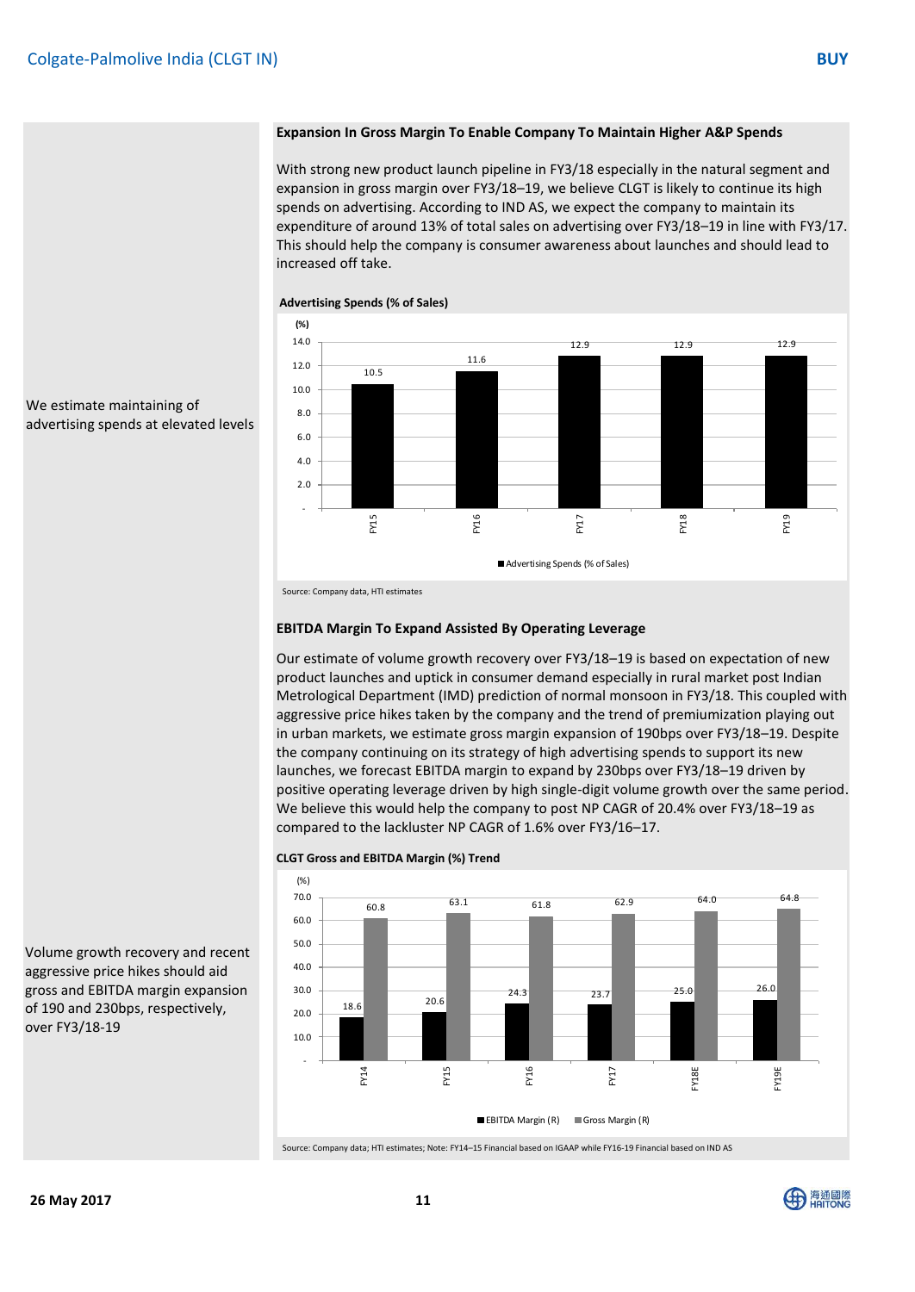#### **Expansion In Gross Margin To Enable Company To Maintain Higher A&P Spends**

With strong new product launch pipeline in FY3/18 especially in the natural segment and expansion in gross margin over FY3/18–19, we believe CLGT is likely to continue its high spends on advertising. According to IND AS, we expect the company to maintain its expenditure of around 13% of total sales on advertising over FY3/18–19 in line with FY3/17. This should help the company is consumer awareness about launches and should lead to increased off take.



#### **Advertising Spends (% of Sales)**

We estimate maintaining of advertising spends at elevated levels

Source: Company data, HTI estimates

#### **EBITDA Margin To Expand Assisted By Operating Leverage**

Our estimate of volume growth recovery over FY3/18–19 is based on expectation of new product launches and uptick in consumer demand especially in rural market post Indian Metrological Department (IMD) prediction of normal monsoon in FY3/18. This coupled with aggressive price hikes taken by the company and the trend of premiumization playing out in urban markets, we estimate gross margin expansion of 190bps over FY3/18–19. Despite the company continuing on its strategy of high advertising spends to support its new launches, we forecast EBITDA margin to expand by 230bps over FY3/18–19 driven by positive operating leverage driven by high single-digit volume growth over the same period. We believe this would help the company to post NP CAGR of 20.4% over FY3/18–19 as compared to the lackluster NP CAGR of 1.6% over FY3/16–17.



**CLGT Gross and EBITDA Margin (%) Trend**

Volume growth recovery and recent aggressive price hikes should aid gross and EBITDA margin expansion of 190 and 230bps, respectively, over FY3/18-19

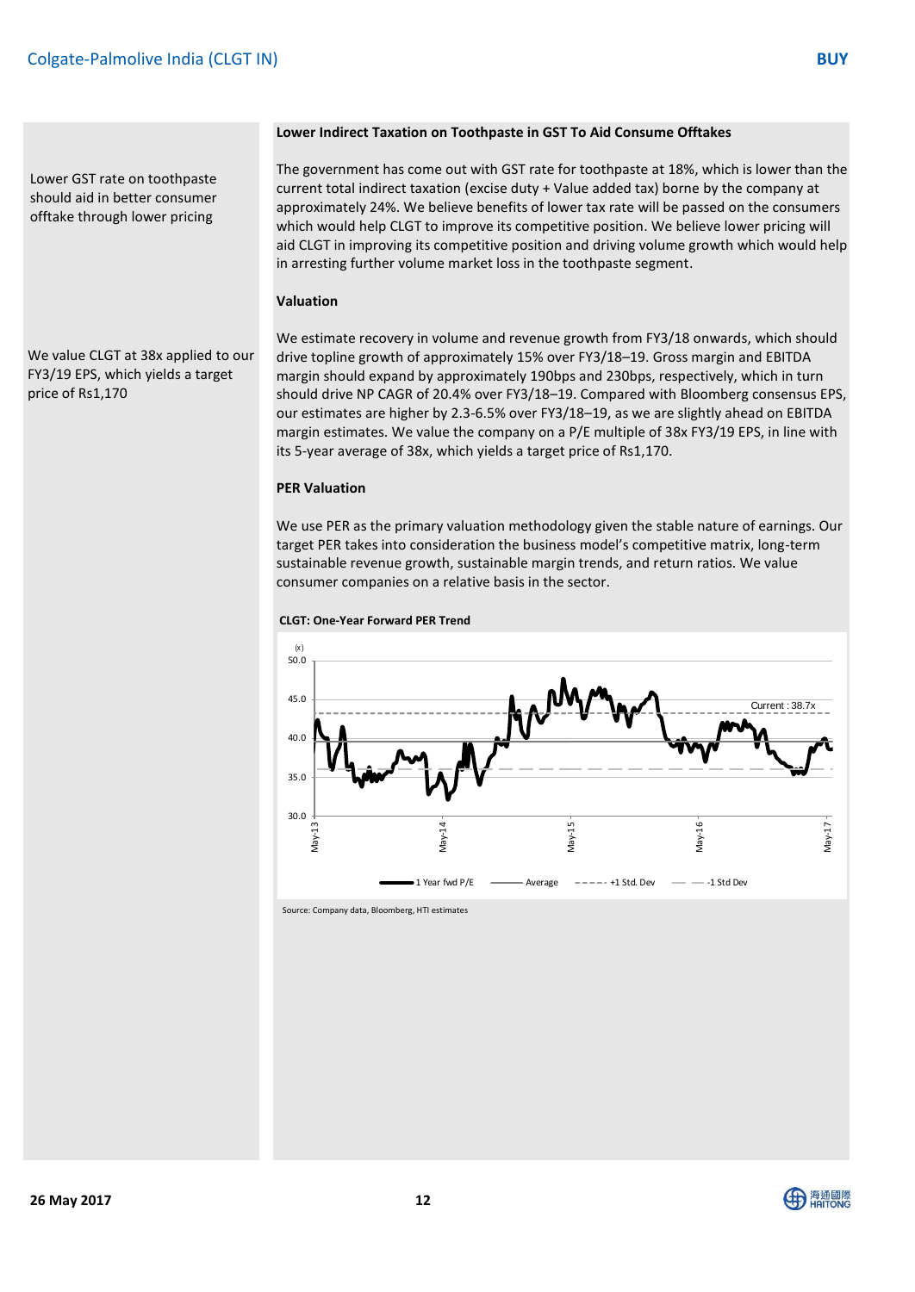Lower GST rate on toothpaste should aid in better consumer offtake through lower pricing

#### **Lower Indirect Taxation on Toothpaste in GST To Aid Consume Offtakes**

The government has come out with GST rate for toothpaste at 18%, which is lower than the current total indirect taxation (excise duty + Value added tax) borne by the company at approximately 24%. We believe benefits of lower tax rate will be passed on the consumers which would help CLGT to improve its competitive position. We believe lower pricing will aid CLGT in improving its competitive position and driving volume growth which would help in arresting further volume market loss in the toothpaste segment.

#### **Valuation**

We value CLGT at 38x applied to our FY3/19 EPS, which yields a target price of Rs1,170

We estimate recovery in volume and revenue growth from FY3/18 onwards, which should drive topline growth of approximately 15% over FY3/18–19. Gross margin and EBITDA margin should expand by approximately 190bps and 230bps, respectively, which in turn should drive NP CAGR of 20.4% over FY3/18–19. Compared with Bloomberg consensus EPS, our estimates are higher by 2.3-6.5% over FY3/18–19, as we are slightly ahead on EBITDA margin estimates. We value the company on a P/E multiple of 38x FY3/19 EPS, in line with its 5-year average of 38x, which yields a target price of Rs1,170.

#### **PER Valuation**

We use PER as the primary valuation methodology given the stable nature of earnings. Our target PER takes into consideration the business model's competitive matrix, long-term sustainable revenue growth, sustainable margin trends, and return ratios. We value consumer companies on a relative basis in the sector.

#### **CLGT: One-Year Forward PER Trend**



Source: Company data, Bloomberg, HTI estimates

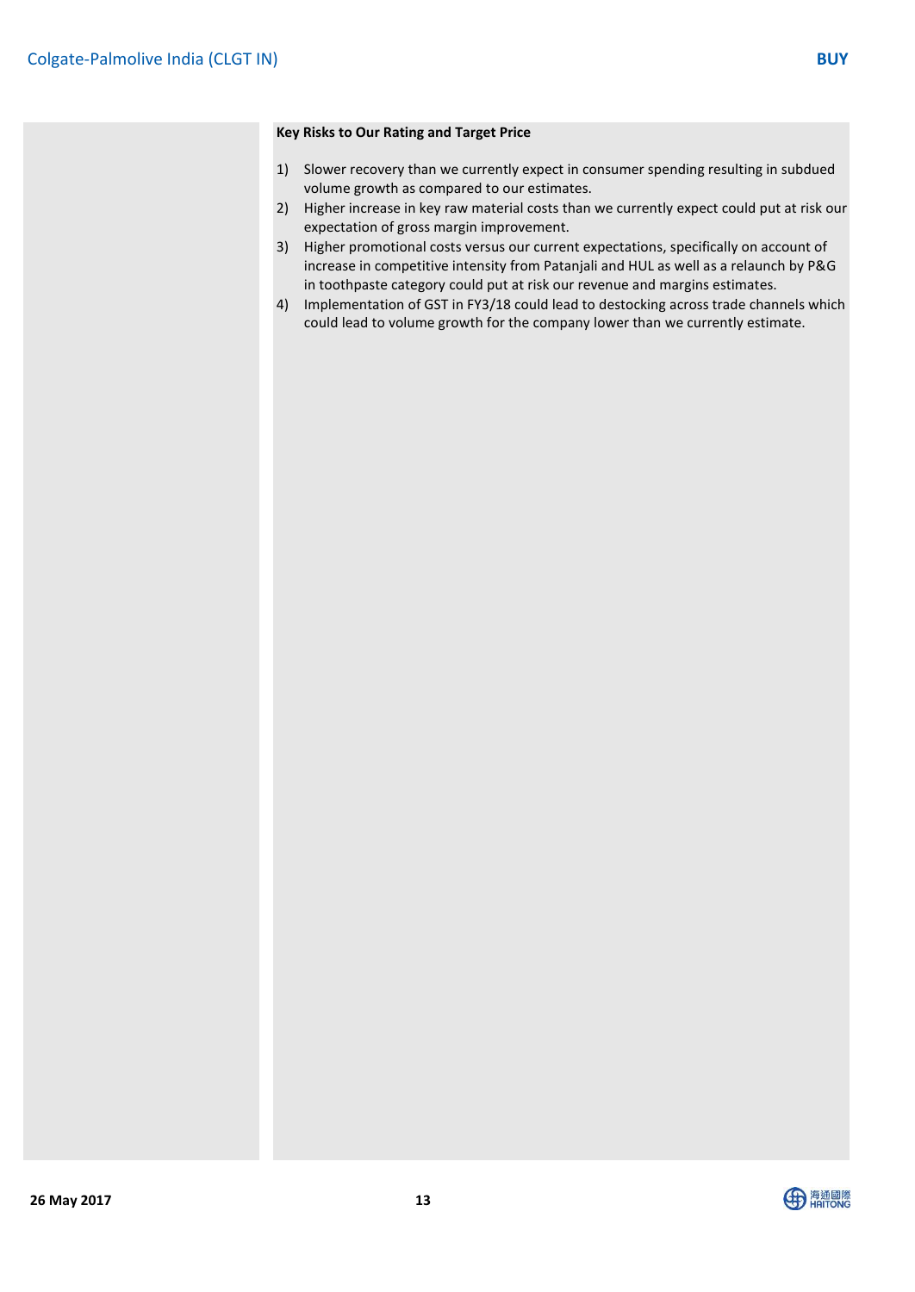#### **Key Risks to Our Rating and Target Price**

- 1) Slower recovery than we currently expect in consumer spending resulting in subdued volume growth as compared to our estimates.
- 2) Higher increase in key raw material costs than we currently expect could put at risk our expectation of gross margin improvement.
- 3) Higher promotional costs versus our current expectations, specifically on account of increase in competitive intensity from Patanjali and HUL as well as a relaunch by P&G in toothpaste category could put at risk our revenue and margins estimates.
- 4) Implementation of GST in FY3/18 could lead to destocking across trade channels which could lead to volume growth for the company lower than we currently estimate.

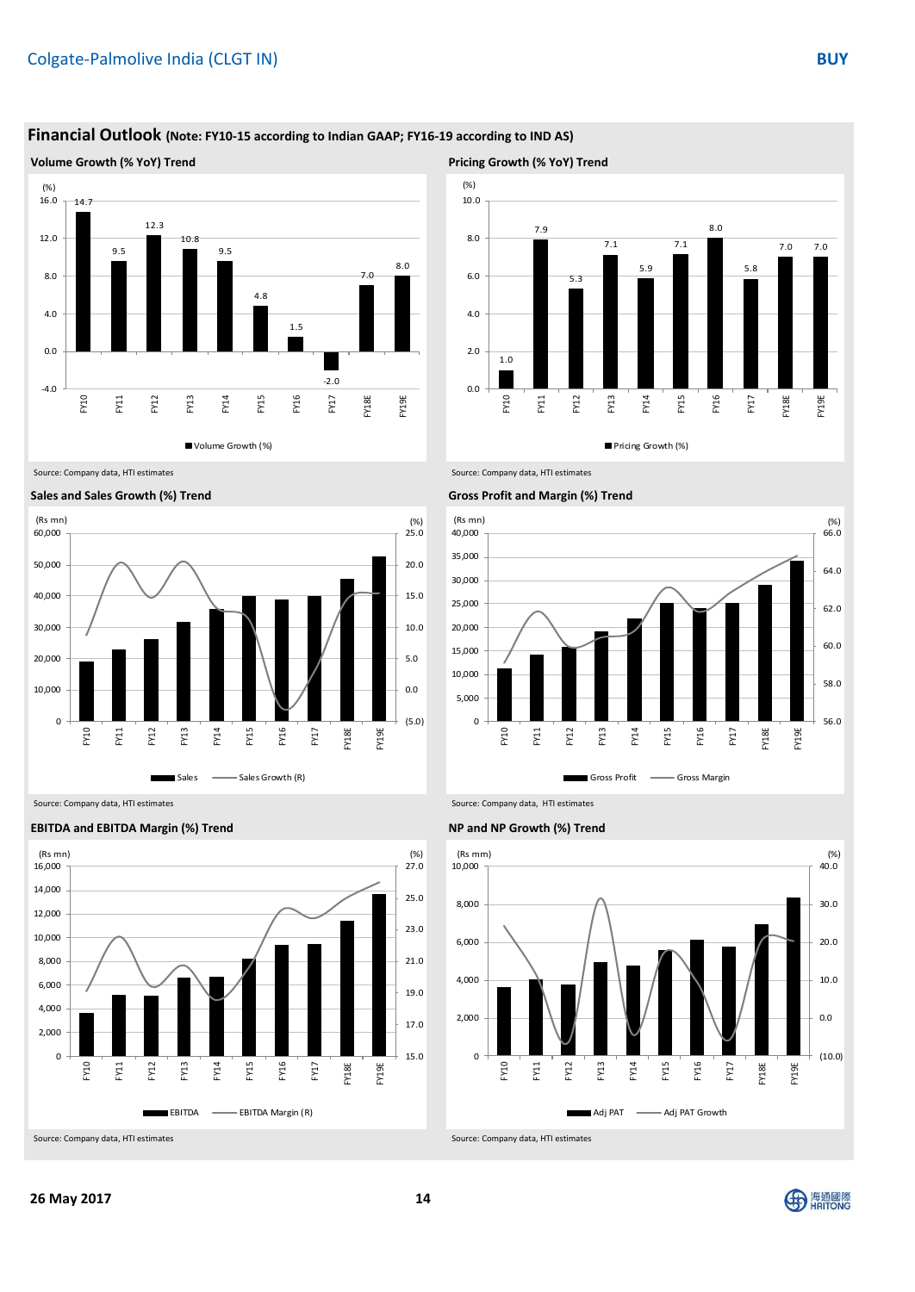### **Financial Outlook (Note: FY10-15 according to Indian GAAP; FY16-19 according to IND AS)**

**Volume Growth (% YoY) Trend Pricing Growth (% YoY) Trend**



Title: Please fill in the values above to have them entered in your report 1.0 7.9 5.3 7.1 5.9 7.1 8.0 5.8 7.0 7.0 0.0  $2.0$ 4.0 6.0 8.0 10.0 FY10 FY11 FY12 FY13 FY14 FY15 FY16 FY17 FY18E FY19E (%) Pricing Growth (%)





Source: Company data, HTI estimates Source: Company data, HTI estimates



**EBITDA and EBITDA Margin (%) Trend NP and NP Growth (%) Trend**

Source: Company data, HTI estimates Source: Company data, HTI estimates





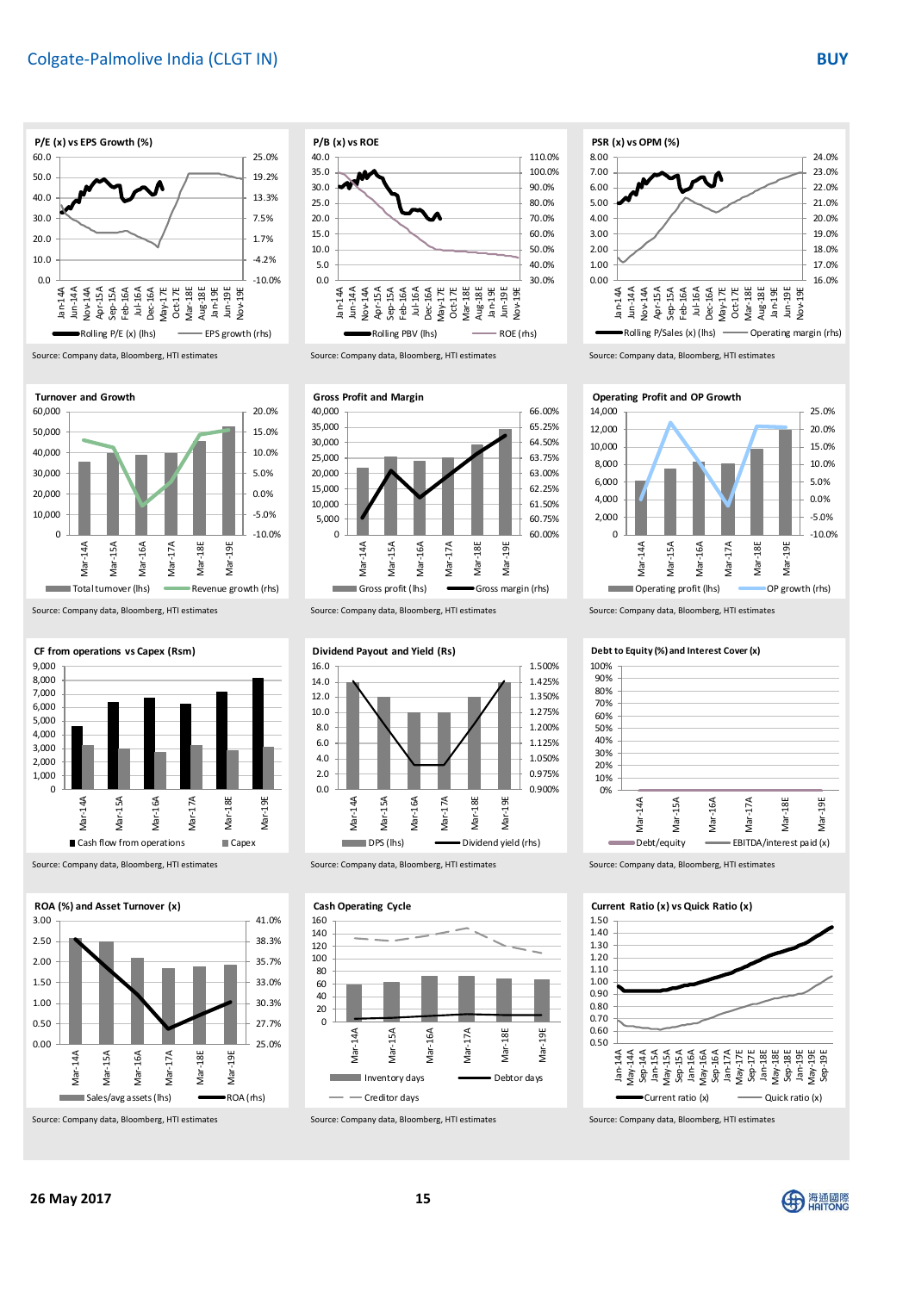



Source: Company data, Bloomberg, HTI estimates Source: Company data, Bloomberg, HTI estimates Source: Company data, Bloomberg, HTI estimates





Source: Company data, Bloomberg, HTI estimates Source: Company data, Bloomberg, HTI estimates Source: Company data, Bloomberg, HTI estimates



Source: Company data, Bloomberg, HTI estimates Source: Company data, Bloomberg, HTI estimates Source: Company data, Bloomberg, HTI estimates





#### **Cash Operating Cycle**











Source: Company data, Bloomberg, HTI estimates Source: Company data, Bloomberg, HTI estimates Source: Company data, Bloomberg, HTI estimates



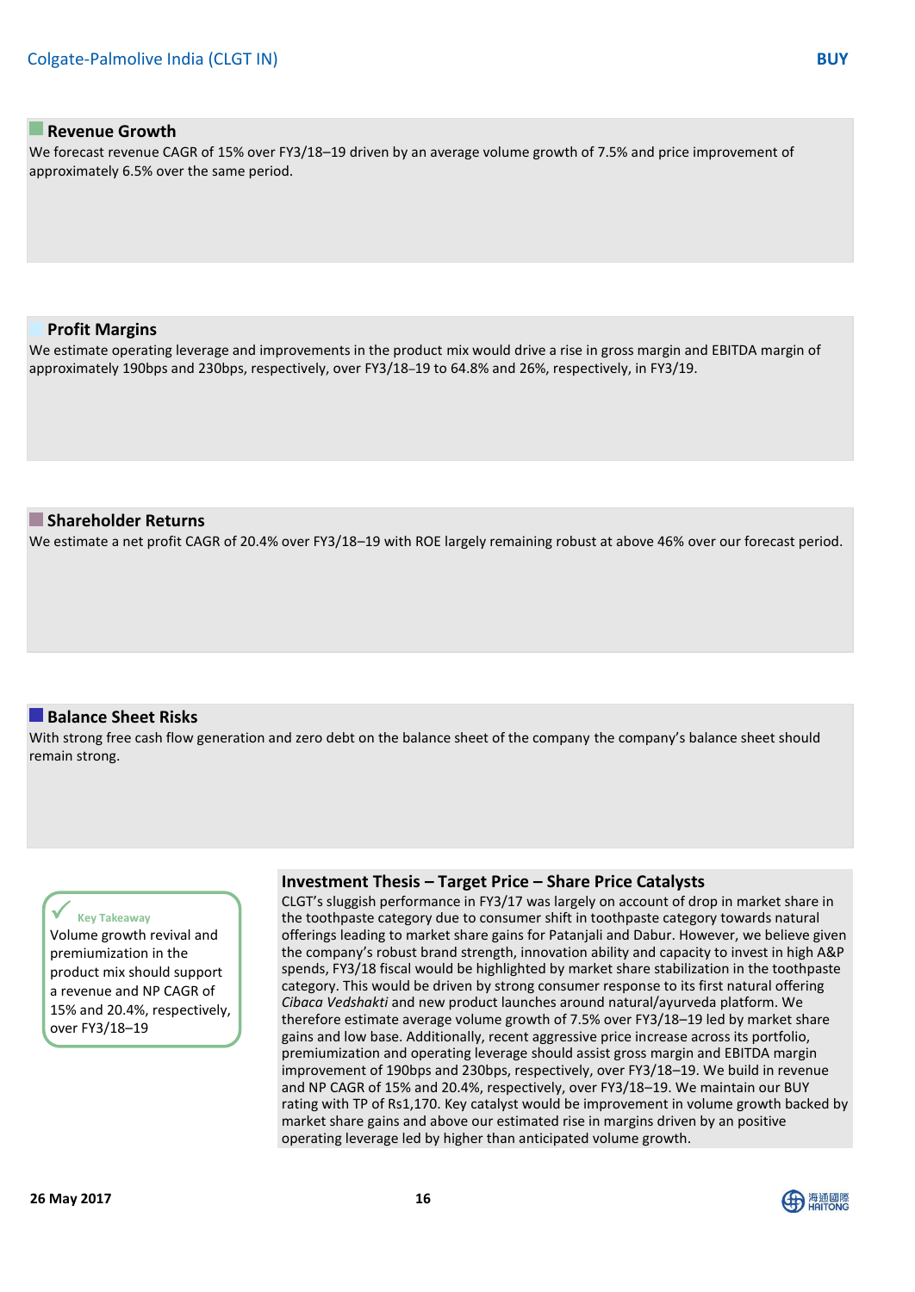### **Revenue Growth**

We forecast revenue CAGR of 15% over FY3/18–19 driven by an average volume growth of 7.5% and price improvement of approximately 6.5% over the same period.

#### **Profit Margins**

We estimate operating leverage and improvements in the product mix would drive a rise in gross margin and EBITDA margin of approximately 190bps and 230bps, respectively, over FY3/18–19 to 64.8% and 26%, respectively, in FY3/19.

#### **Shareholder Returns**

We estimate a net profit CAGR of 20.4% over FY3/18–19 with ROE largely remaining robust at above 46% over our forecast period.

### **Balance Sheet Risks**

With strong free cash flow generation and zero debt on the balance sheet of the company the company's balance sheet should remain strong.

#### **Key Takeaway**

Volume growth revival and premiumization in the product mix should support a revenue and NP CAGR of 15% and 20.4%, respectively, over FY3/18–19

#### **Investment Thesis – Target Price – Share Price Catalysts**

CLGT's sluggish performance in FY3/17 was largely on account of drop in market share in the toothpaste category due to consumer shift in toothpaste category towards natural offerings leading to market share gains for Patanjali and Dabur. However, we believe given the company's robust brand strength, innovation ability and capacity to invest in high A&P spends, FY3/18 fiscal would be highlighted by market share stabilization in the toothpaste category. This would be driven by strong consumer response to its first natural offering *Cibaca Vedshakti* and new product launches around natural/ayurveda platform. We therefore estimate average volume growth of 7.5% over FY3/18–19 led by market share gains and low base. Additionally, recent aggressive price increase across its portfolio, premiumization and operating leverage should assist gross margin and EBITDA margin improvement of 190bps and 230bps, respectively, over FY3/18–19. We build in revenue and NP CAGR of 15% and 20.4%, respectively, over FY3/18–19. We maintain our BUY rating with TP of Rs1,170. Key catalyst would be improvement in volume growth backed by market share gains and above our estimated rise in margins driven by an positive operating leverage led by higher than anticipated volume growth.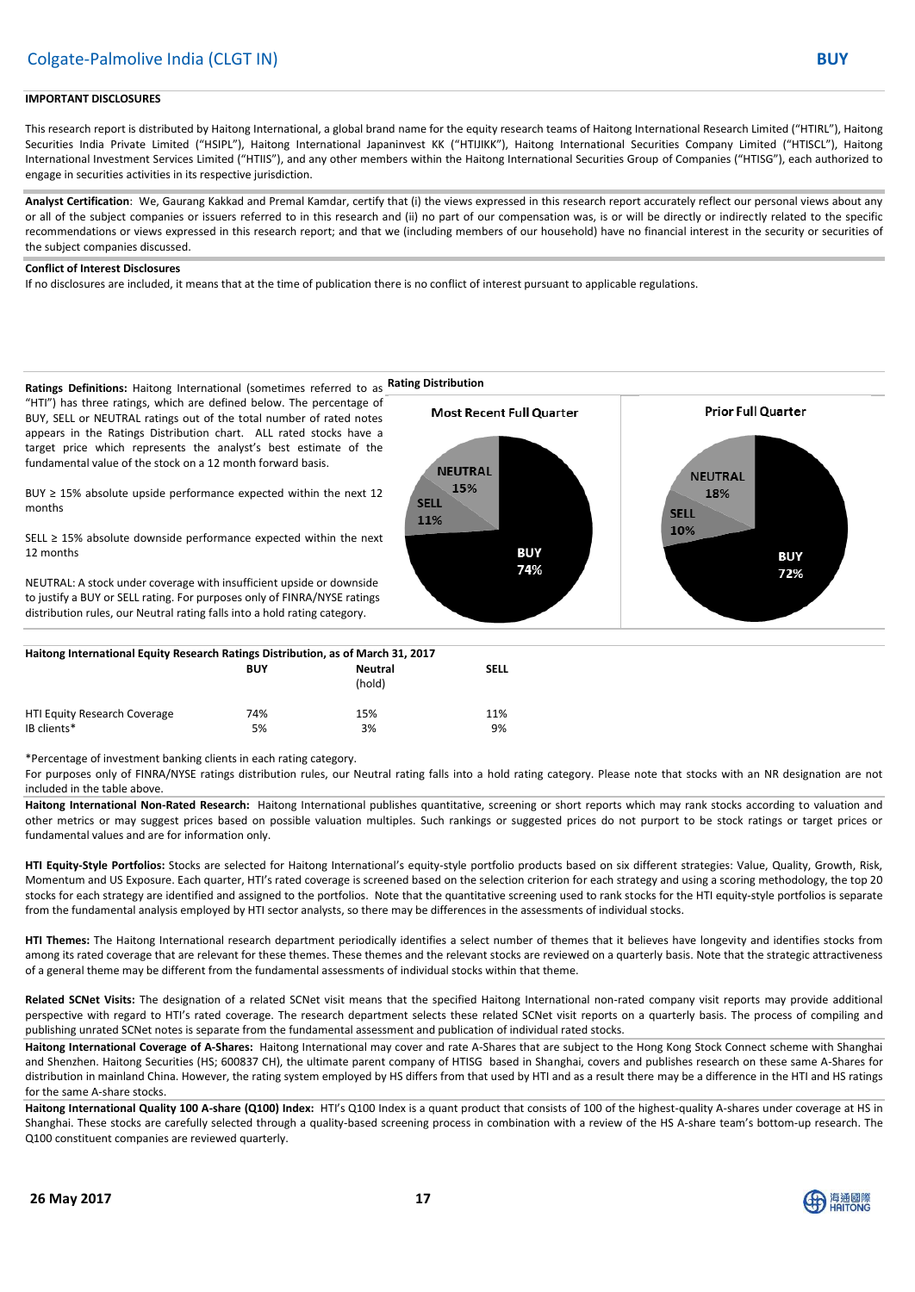#### **IMPORTANT DISCLOSURES**

This research report is distributed by Haitong International, a global brand name for the equity research teams of Haitong International Research Limited ("HTIRL"), Haitong Securities India Private Limited ("HSIPL"), Haitong International Japaninvest KK ("HTIJIKK"), Haitong International Securities Company Limited ("HTISCL"), Haitong International Investment Services Limited ("HTIIS"), and any other members within the Haitong International Securities Group of Companies ("HTISG"), each authorized to engage in securities activities in its respective jurisdiction.

**Analyst Certification**: We, Gaurang Kakkad and Premal Kamdar, certify that (i) the views expressed in this research report accurately reflect our personal views about any or all of the subject companies or issuers referred to in this research and (ii) no part of our compensation was, is or will be directly or indirectly related to the specific recommendations or views expressed in this research report; and that we (including members of our household) have no financial interest in the security or securities of the subject companies discussed.

#### **Conflict of Interest Disclosures**

If no disclosures are included, it means that at the time of publication there is no conflict of interest pursuant to applicable regulations.



| $\frac{1}{2}$                               |            |                   |             |  |  |  |
|---------------------------------------------|------------|-------------------|-------------|--|--|--|
|                                             | <b>BUY</b> | Neutral<br>(hold) | <b>SELL</b> |  |  |  |
| HTI Equity Research Coverage<br>IB clients* | 74%<br>5%  | 15%<br>3%         | 11%<br>9%   |  |  |  |
|                                             |            |                   |             |  |  |  |

\*Percentage of investment banking clients in each rating category.

For purposes only of FINRA/NYSE ratings distribution rules, our Neutral rating falls into a hold rating category. Please note that stocks with an NR designation are not included in the table above.

**Haitong International Non-Rated Research:** Haitong International publishes quantitative, screening or short reports which may rank stocks according to valuation and other metrics or may suggest prices based on possible valuation multiples. Such rankings or suggested prices do not purport to be stock ratings or target prices or fundamental values and are for information only.

**HTI Equity-Style Portfolios:** Stocks are selected for Haitong International's equity-style portfolio products based on six different strategies: Value, Quality, Growth, Risk, Momentum and US Exposure. Each quarter, HTI's rated coverage is screened based on the selection criterion for each strategy and using a scoring methodology, the top 20 stocks for each strategy are identified and assigned to the portfolios. Note that the quantitative screening used to rank stocks for the HTI equity-style portfolios is separate from the fundamental analysis employed by HTI sector analysts, so there may be differences in the assessments of individual stocks.

**HTI Themes:** The Haitong International research department periodically identifies a select number of themes that it believes have longevity and identifies stocks from among its rated coverage that are relevant for these themes. These themes and the relevant stocks are reviewed on a quarterly basis. Note that the strategic attractiveness of a general theme may be different from the fundamental assessments of individual stocks within that theme.

**Related SCNet Visits:** The designation of a related SCNet visit means that the specified Haitong International non-rated company visit reports may provide additional perspective with regard to HTI's rated coverage. The research department selects these related SCNet visit reports on a quarterly basis. The process of compiling and publishing unrated SCNet notes is separate from the fundamental assessment and publication of individual rated stocks.

**Haitong International Coverage of A-Shares:** Haitong International may cover and rate A-Shares that are subject to the Hong Kong Stock Connect scheme with Shanghai and Shenzhen. Haitong Securities (HS; 600837 CH), the ultimate parent company of HTISG based in Shanghai, covers and publishes research on these same A-Shares for distribution in mainland China. However, the rating system employed by HS differs from that used by HTI and as a result there may be a difference in the HTI and HS ratings for the same A-share stocks.

**Haitong International Quality 100 A-share (Q100) Index:** HTI's Q100 Index is a quant product that consists of 100 of the highest-quality A-shares under coverage at HS in Shanghai. These stocks are carefully selected through a quality-based screening process in combination with a review of the HS A-share team's bottom-up research. The Q100 constituent companies are reviewed quarterly.

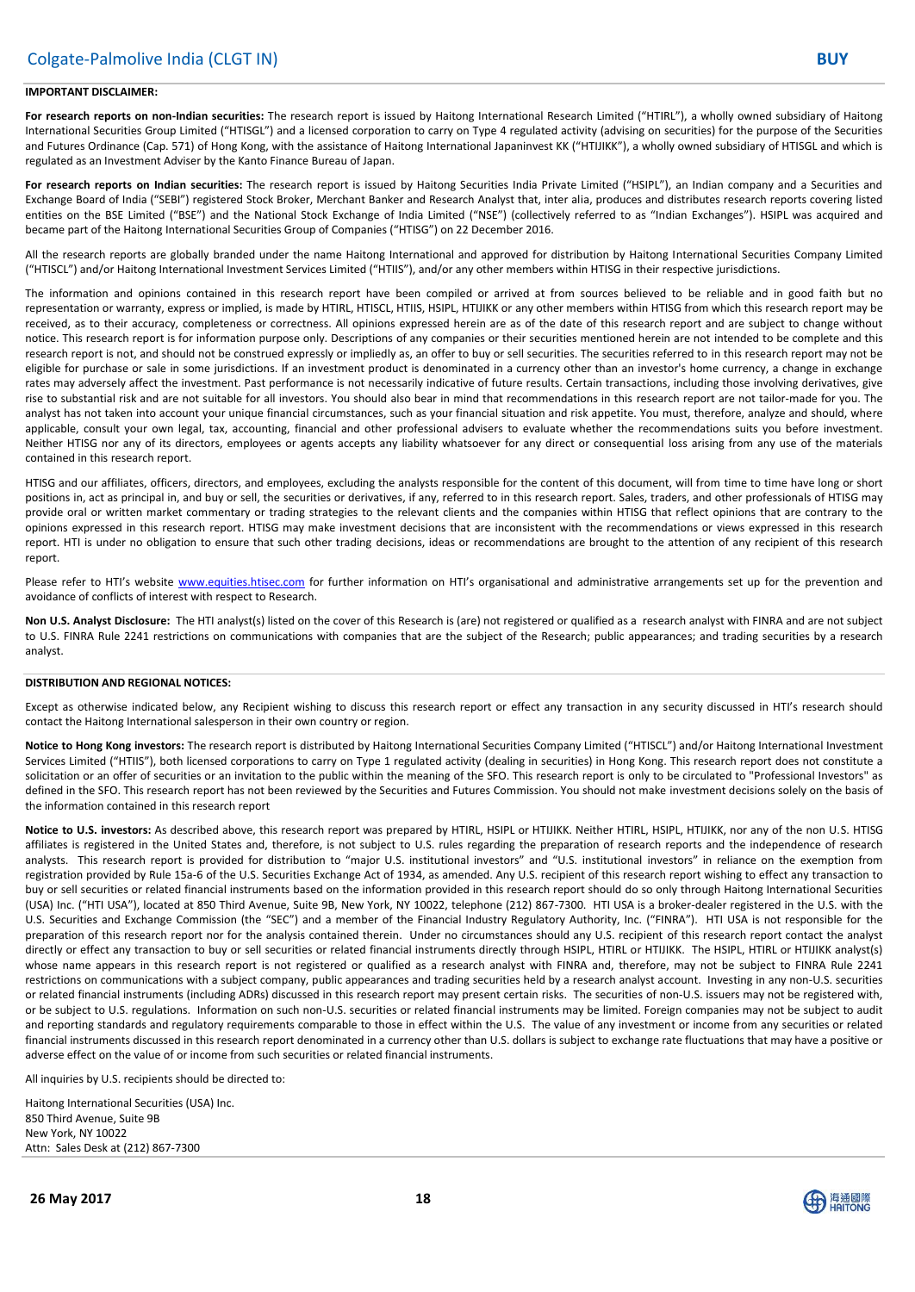#### **IMPORTANT DISCLAIMER:**

For research reports on non-Indian securities: The research report is issued by Haitong International Research Limited ("HTIRL"), a wholly owned subsidiary of Haitong International Securities Group Limited ("HTISGL") and a licensed corporation to carry on Type 4 regulated activity (advising on securities) for the purpose of the Securities and Futures Ordinance (Cap. 571) of Hong Kong, with the assistance of Haitong International Japaninvest KK ("HTIJIKK"), a wholly owned subsidiary of HTISGL and which is regulated as an Investment Adviser by the Kanto Finance Bureau of Japan.

**For research reports on Indian securities:** The research report is issued by Haitong Securities India Private Limited ("HSIPL"), an Indian company and a Securities and Exchange Board of India ("SEBI") registered Stock Broker, Merchant Banker and Research Analyst that, inter alia, produces and distributes research reports covering listed entities on the BSE Limited ("BSE") and the National Stock Exchange of India Limited ("NSE") (collectively referred to as "Indian Exchanges"). HSIPL was acquired and became part of the Haitong International Securities Group of Companies ("HTISG") on 22 December 2016.

All the research reports are globally branded under the name Haitong International and approved for distribution by Haitong International Securities Company Limited ("HTISCL") and/or Haitong International Investment Services Limited ("HTIIS"), and/or any other members within HTISG in their respective jurisdictions.

The information and opinions contained in this research report have been compiled or arrived at from sources believed to be reliable and in good faith but no representation or warranty, express or implied, is made by HTIRL, HTISCL, HTIIS, HSIPL, HTIJIKK or any other members within HTISG from which this research report may be received, as to their accuracy, completeness or correctness. All opinions expressed herein are as of the date of this research report and are subject to change without notice. This research report is for information purpose only. Descriptions of any companies or their securities mentioned herein are not intended to be complete and this research report is not, and should not be construed expressly or impliedly as, an offer to buy or sell securities. The securities referred to in this research report may not be eligible for purchase or sale in some jurisdictions. If an investment product is denominated in a currency other than an investor's home currency, a change in exchange rates may adversely affect the investment. Past performance is not necessarily indicative of future results. Certain transactions, including those involving derivatives, give rise to substantial risk and are not suitable for all investors. You should also bear in mind that recommendations in this research report are not tailor-made for you. The analyst has not taken into account your unique financial circumstances, such as your financial situation and risk appetite. You must, therefore, analyze and should, where applicable, consult your own legal, tax, accounting, financial and other professional advisers to evaluate whether the recommendations suits you before investment. Neither HTISG nor any of its directors, employees or agents accepts any liability whatsoever for any direct or consequential loss arising from any use of the materials contained in this research report.

HTISG and our affiliates, officers, directors, and employees, excluding the analysts responsible for the content of this document, will from time to time have long or short positions in, act as principal in, and buy or sell, the securities or derivatives, if any, referred to in this research report. Sales, traders, and other professionals of HTISG may provide oral or written market commentary or trading strategies to the relevant clients and the companies within HTISG that reflect opinions that are contrary to the opinions expressed in this research report. HTISG may make investment decisions that are inconsistent with the recommendations or views expressed in this research report. HTI is under no obligation to ensure that such other trading decisions, ideas or recommendations are brought to the attention of any recipient of this research report.

Please refer to HTI's website [www.equities.htisec.com](http://www.equities.htisec.com/) for further information on HTI's organisational and administrative arrangements set up for the prevention and avoidance of conflicts of interest with respect to Research.

**Non U.S. Analyst Disclosure:** The HTI analyst(s) listed on the cover of this Research is (are) not registered or qualified as a research analyst with FINRA and are not subject to U.S. FINRA Rule 2241 restrictions on communications with companies that are the subject of the Research; public appearances; and trading securities by a research analyst.

#### **DISTRIBUTION AND REGIONAL NOTICES:**

Except as otherwise indicated below, any Recipient wishing to discuss this research report or effect any transaction in any security discussed in HTI's research should contact the Haitong International salesperson in their own country or region.

**Notice to Hong Kong investors:** The research report is distributed by Haitong International Securities Company Limited ("HTISCL") and/or Haitong International Investment Services Limited ("HTIIS"), both licensed corporations to carry on Type 1 regulated activity (dealing in securities) in Hong Kong. This research report does not constitute a solicitation or an offer of securities or an invitation to the public within the meaning of the SFO. This research report is only to be circulated to "Professional Investors" as defined in the SFO. This research report has not been reviewed by the Securities and Futures Commission. You should not make investment decisions solely on the basis of the information contained in this research report

**Notice to U.S. investors:** As described above, this research report was prepared by HTIRL, HSIPL or HTIJIKK. Neither HTIRL, HSIPL, HTIJIKK, nor any of the non U.S. HTISG affiliates is registered in the United States and, therefore, is not subject to U.S. rules regarding the preparation of research reports and the independence of research analysts. This research report is provided for distribution to "major U.S. institutional investors" and "U.S. institutional investors" in reliance on the exemption from registration provided by Rule 15a-6 of the U.S. Securities Exchange Act of 1934, as amended. Any U.S. recipient of this research report wishing to effect any transaction to buy or sell securities or related financial instruments based on the information provided in this research report should do so only through Haitong International Securities (USA) Inc. ("HTI USA"), located at 850 Third Avenue, Suite 9B, New York, NY 10022, telephone (212) 867-7300. HTI USA is a broker-dealer registered in the U.S. with the U.S. Securities and Exchange Commission (the "SEC") and a member of the Financial Industry Regulatory Authority, Inc. ("FINRA"). HTI USA is not responsible for the preparation of this research report nor for the analysis contained therein. Under no circumstances should any U.S. recipient of this research report contact the analyst directly or effect any transaction to buy or sell securities or related financial instruments directly through HSIPL, HTIRL or HTIJIKK. The HSIPL, HTIRL or HTIJIKK analyst(s) whose name appears in this research report is not registered or qualified as a research analyst with FINRA and, therefore, may not be subject to FINRA Rule 2241 restrictions on communications with a subject company, public appearances and trading securities held by a research analyst account. Investing in any non-U.S. securities or related financial instruments (including ADRs) discussed in this research report may present certain risks. The securities of non-U.S. issuers may not be registered with, or be subject to U.S. regulations. Information on such non-U.S. securities or related financial instruments may be limited. Foreign companies may not be subject to audit and reporting standards and regulatory requirements comparable to those in effect within the U.S. The value of any investment or income from any securities or related financial instruments discussed in this research report denominated in a currency other than U.S. dollars is subject to exchange rate fluctuations that may have a positive or adverse effect on the value of or income from such securities or related financial instruments.

All inquiries by U.S. recipients should be directed to:

Haitong International Securities (USA) Inc. 850 Third Avenue, Suite 9B New York, NY 10022 Attn: Sales Desk at (212) 867-7300

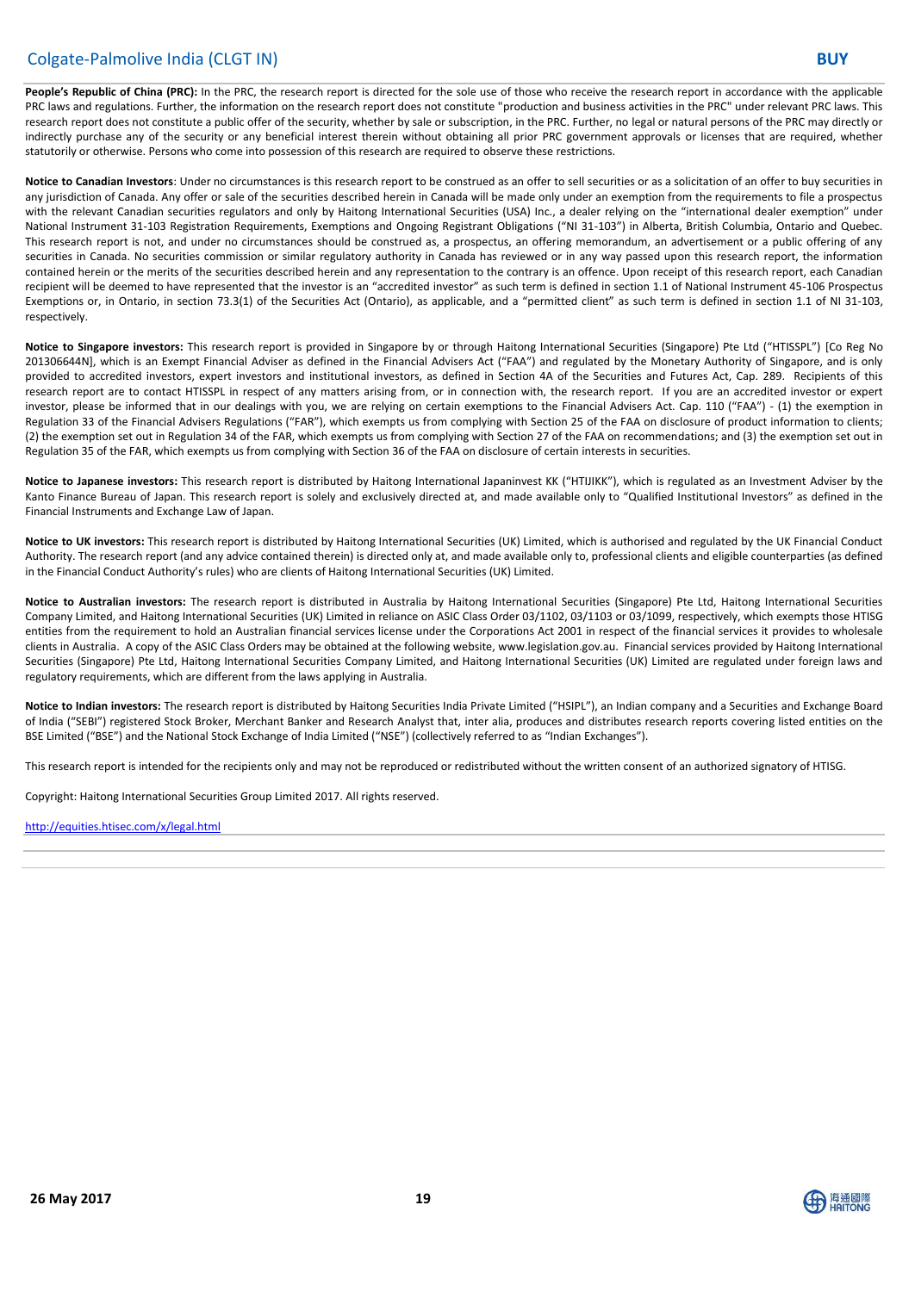# Colgate-Palmolive India (CLGT IN) **BUY**

**People's Republic of China (PRC):** In the PRC, the research report is directed for the sole use of those who receive the research report in accordance with the applicable PRC laws and regulations. Further, the information on the research report does not constitute "production and business activities in the PRC" under relevant PRC laws. This research report does not constitute a public offer of the security, whether by sale or subscription, in the PRC. Further, no legal or natural persons of the PRC may directly or indirectly purchase any of the security or any beneficial interest therein without obtaining all prior PRC government approvals or licenses that are required, whether statutorily or otherwise. Persons who come into possession of this research are required to observe these restrictions.

Notice to Canadian Investors: Under no circumstances is this research report to be construed as an offer to sell securities or as a solicitation of an offer to buy securities in any jurisdiction of Canada. Any offer or sale of the securities described herein in Canada will be made only under an exemption from the requirements to file a prospectus with the relevant Canadian securities regulators and only by Haitong International Securities (USA) Inc., a dealer relying on the "international dealer exemption" under National Instrument 31-103 Registration Requirements, Exemptions and Ongoing Registrant Obligations ("NI 31-103") in Alberta, British Columbia, Ontario and Quebec. This research report is not, and under no circumstances should be construed as, a prospectus, an offering memorandum, an advertisement or a public offering of any securities in Canada. No securities commission or similar regulatory authority in Canada has reviewed or in any way passed upon this research report, the information contained herein or the merits of the securities described herein and any representation to the contrary is an offence. Upon receipt of this research report, each Canadian recipient will be deemed to have represented that the investor is an "accredited investor" as such term is defined in section 1.1 of National Instrument 45-106 Prospectus Exemptions or, in Ontario, in section 73.3(1) of the Securities Act (Ontario), as applicable, and a "permitted client" as such term is defined in section 1.1 of NI 31-103, respectively.

**Notice to Singapore investors:** This research report is provided in Singapore by or through Haitong International Securities (Singapore) Pte Ltd ("HTISSPL") [Co Reg No 201306644N], which is an Exempt Financial Adviser as defined in the Financial Advisers Act ("FAA") and regulated by the Monetary Authority of Singapore, and is only provided to accredited investors, expert investors and institutional investors, as defined in Section 4A of the Securities and Futures Act, Cap. 289. Recipients of this research report are to contact HTISSPL in respect of any matters arising from, or in connection with, the research report. If you are an accredited investor or expert investor, please be informed that in our dealings with you, we are relying on certain exemptions to the Financial Advisers Act. Cap. 110 ("FAA") - (1) the exemption in Regulation 33 of the Financial Advisers Regulations ("FAR"), which exempts us from complying with Section 25 of the FAA on disclosure of product information to clients; (2) the exemption set out in Regulation 34 of the FAR, which exempts us from complying with Section 27 of the FAA on recommendations; and (3) the exemption set out in Regulation 35 of the FAR, which exempts us from complying with Section 36 of the FAA on disclosure of certain interests in securities.

**Notice to Japanese investors:** This research report is distributed by Haitong International Japaninvest KK ("HTIJIKK"), which is regulated as an Investment Adviser by the Kanto Finance Bureau of Japan. This research report is solely and exclusively directed at, and made available only to "Qualified Institutional Investors" as defined in the Financial Instruments and Exchange Law of Japan.

**Notice to UK investors:** This research report is distributed by Haitong International Securities (UK) Limited, which is authorised and regulated by the UK Financial Conduct Authority. The research report (and any advice contained therein) is directed only at, and made available only to, professional clients and eligible counterparties (as defined in the Financial Conduct Authority's rules) who are clients of Haitong International Securities (UK) Limited.

**Notice to Australian investors:** The research report is distributed in Australia by Haitong International Securities (Singapore) Pte Ltd, Haitong International Securities Company Limited, and Haitong International Securities (UK) Limited in reliance on ASIC Class Order 03/1102, 03/1103 or 03/1099, respectively, which exempts those HTISG entities from the requirement to hold an Australian financial services license under the Corporations Act 2001 in respect of the financial services it provides to wholesale clients in Australia. A copy of the ASIC Class Orders may be obtained at the following website, www.legislation.gov.au. Financial services provided by Haitong International Securities (Singapore) Pte Ltd, Haitong International Securities Company Limited, and Haitong International Securities (UK) Limited are regulated under foreign laws and regulatory requirements, which are different from the laws applying in Australia.

**Notice to Indian investors:** The research report is distributed by Haitong Securities India Private Limited ("HSIPL"), an Indian company and a Securities and Exchange Board of India ("SEBI") registered Stock Broker, Merchant Banker and Research Analyst that, inter alia, produces and distributes research reports covering listed entities on the BSE Limited ("BSE") and the National Stock Exchange of India Limited ("NSE") (collectively referred to as "Indian Exchanges").

This research report is intended for the recipients only and may not be reproduced or redistributed without the written consent of an authorized signatory of HTISG.

Copyright: Haitong International Securities Group Limited 2017. All rights reserved.

#### <http://equities.htisec.com/x/legal.html>